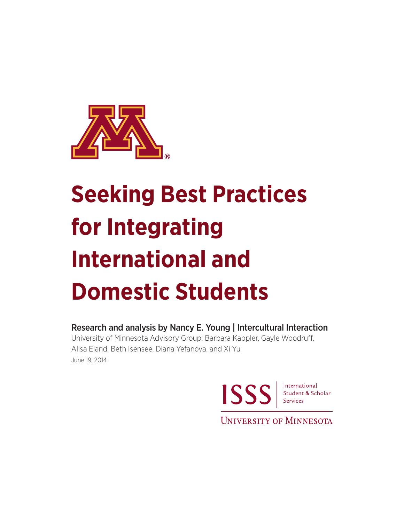

# **Seeking Best Practices for Integrating International and Domestic Students**

Research and analysis by Nancy E. Young | Intercultural Interaction University of Minnesota Advisory Group: Barbara Kappler, Gayle Woodruff, Alisa Eland, Beth Isensee, Diana Yefanova, and Xi Yu

June 19, 2014



**UNIVERSITY OF MINNESOTA**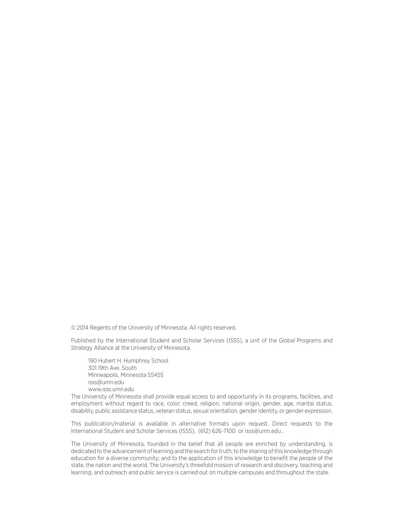© 2014 Regents of the University of Minnesota. All rights reserved.

Published by the International Student and Scholar Services (ISSS), a unit of the Global Programs and Strategy Alliance at the University of Minnesota.

190 Hubert H. Humphrey School 301 19th Ave. South Minneapolis, Minnesota 55455 isss@umn.edu www.isss.umn.edu

The University of Minnesota shall provide equal access to and opportunity in its programs, facilities, and employment without regard to race, color, creed, religion, national origin, gender, age, marital status, disability, public assistance status, veteran status, sexual orientation, gender identity, or gender expression.

This publication/material is available in alternative formats upon request. Direct requests to the International Student and Scholar Services (ISSS), (612) 626-7100 or isss@umn.edu .

The University of Minnesota, founded in the belief that all people are enriched by understanding, is dedicated to the advancement of learning and the search for truth; to the sharing of this knowledge through education for a diverse community; and to the application of this knowledge to benefit the people of the state, the nation and the world. The University's threefold mission of research and discovery, teaching and learning, and outreach and public service is carried out on multiple campuses and throughout the state.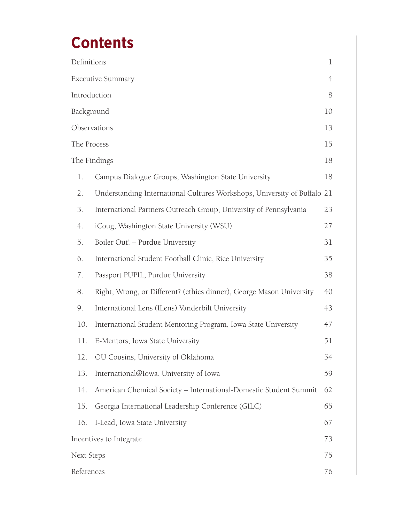# **Contents**

| Definitions             |                                                                          | $\mathbf 1$    |
|-------------------------|--------------------------------------------------------------------------|----------------|
|                         | <b>Executive Summary</b>                                                 | $\overline{4}$ |
| Introduction            |                                                                          | 8              |
| Background              |                                                                          | 10             |
| Observations            |                                                                          | 13             |
| The Process             |                                                                          | 15             |
| The Findings            |                                                                          | 18             |
| 1.                      | Campus Dialogue Groups, Washington State University                      | 18             |
| 2.                      | Understanding International Cultures Workshops, University of Buffalo 21 |                |
| 3.                      | International Partners Outreach Group, University of Pennsylvania        | 23             |
| 4.                      | iCoug, Washington State University (WSU)                                 | 27             |
| 5.                      | Boiler Out! - Purdue University                                          | 31             |
| б.                      | International Student Football Clinic, Rice University                   | 35             |
| 7.                      | Passport PUPIL, Purdue University                                        | 38             |
| 8.                      | Right, Wrong, or Different? (ethics dinner), George Mason University     | 40             |
| 9.                      | International Lens (ILens) Vanderbilt University                         | 43             |
| 10.                     | International Student Mentoring Program, Iowa State University           | 47             |
| 11.                     | E-Mentors, Iowa State University                                         | 51             |
| 12.                     | OU Cousins, University of Oklahoma                                       | 54             |
| 13.                     | International@Iowa, University of Iowa                                   | 59             |
| 14.                     | American Chemical Society - International-Domestic Student Summit        | 62             |
| 15.                     | Georgia International Leadership Conference (GILC)                       | 65             |
| 16.                     | I-Lead, Iowa State University                                            | 67             |
| Incentives to Integrate |                                                                          | 73             |
| Next Steps              |                                                                          | 75             |
| References              |                                                                          | 76             |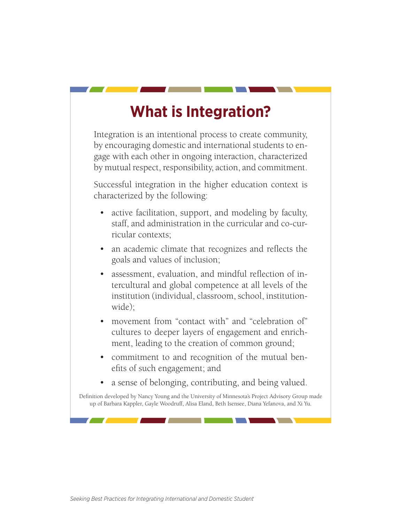### **What is Integration?**

Integration is an intentional process to create community, by encouraging domestic and international students to engage with each other in ongoing interaction, characterized by mutual respect, responsibility, action, and commitment.

Successful integration in the higher education context is characterized by the following:

- active facilitation, support, and modeling by faculty, staff, and administration in the curricular and co-curricular contexts;
- an academic climate that recognizes and reflects the goals and values of inclusion;
- assessment, evaluation, and mindful reflection of intercultural and global competence at all levels of the institution (individual, classroom, school, institutionwide);
- movement from "contact with" and "celebration of" cultures to deeper layers of engagement and enrichment, leading to the creation of common ground;
- commitment to and recognition of the mutual benefits of such engagement; and
- a sense of belonging, contributing, and being valued.

Definition developed by Nancy Young and the University of Minnesota's Project Advisory Group made up of Barbara Kappler, Gayle Woodruff, Alisa Eland, Beth Isensee, Diana Yefanova, and Xi Yu.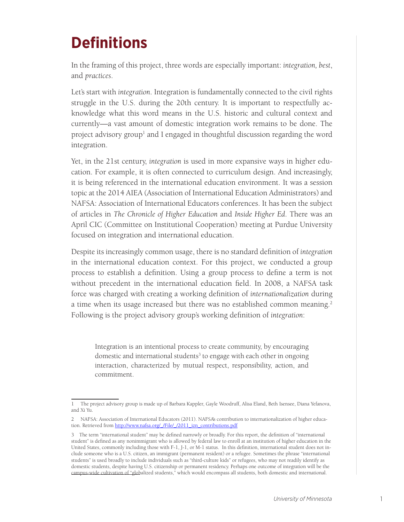# **Definitions**

In the framing of this project, three words are especially important: *integration, best*, and *practices*.

Let's start with *integration*. Integration is fundamentally connected to the civil rights struggle in the U.S. during the 20th century. It is important to respectfully acknowledge what this word means in the U.S. historic and cultural context and currently—a vast amount of domestic integration work remains to be done. The project advisory group<sup>1</sup> and I engaged in thoughtful discussion regarding the word integration.

Yet, in the 21st century, *integration* is used in more expansive ways in higher education. For example, it is often connected to curriculum design. And increasingly, it is being referenced in the international education environment. It was a session topic at the 2014 AIEA (Association of International Education Administrators) and NAFSA: Association of International Educators conferences. It has been the subject of articles in *The Chronicle of Higher Education* and *Inside Higher Ed*. There was an April CIC (Committee on Institutional Cooperation) meeting at Purdue University focused on integration and international education.

Despite its increasingly common usage, there is no standard definition of *integration* in the international education context. For this project, we conducted a group process to establish a definition. Using a group process to define a term is not without precedent in the international education field. In 2008, a NAFSA task force was charged with creating a working definition of *internationalization* during a time when its usage increased but there was no established common meaning.<sup>2</sup> Following is the project advisory group's working definition of *integration*:

Integration is an intentional process to create community, by encouraging domestic and international students<sup>3</sup> to engage with each other in ongoing interaction, characterized by mutual respect, responsibility, action, and commitment.

<sup>1</sup> The project advisory group is made up of Barbara Kappler, Gayle Woodruff, Alisa Eland, Beth Isensee, Diana Yefanova, and Xi Yu.

<sup>2</sup> NAFSA: Association of International Educators (2011). NAFSA's contribution to internationalization of higher education. Retrieved from http://www.nafsa.org/ /File/ /2011 izn\_contributions.pdf

<sup>3</sup> The term "international student" may be defined narrowly or broadly. For this report, the definition of "international student" is defined as any nonimmigrant who is allowed by federal law to enroll at an institution of higher education in the United States, commonly including those with F-1, J-1, or M-1 status. In this definition, international student does not include someone who is a U.S. citizen, an immigrant (permanent resident) or a refugee. Sometimes the phrase "international students" is used broadly to include individuals such as "third-culture kids" or refugees, who may not readily identify as domestic students, despite having U.S. citizenship or permanent residency. Perhaps one outcome of integration will be the campus-wide cultivation of "globalized students," which would encompass all students, both domestic and international.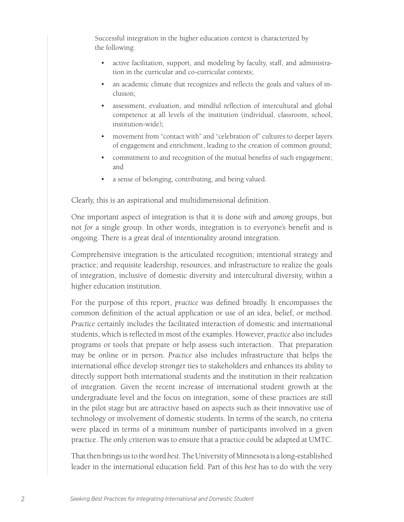Successful integration in the higher education context is characterized by the following:

- active facilitation, support, and modeling by faculty, staff, and administration in the curricular and co-curricular contexts;
- an academic climate that recognizes and reflects the goals and values of inclusion;
- assessment, evaluation, and mindful reflection of intercultural and global competence at all levels of the institution (individual, classroom, school, institution-wide);
- movement from "contact with" and "celebration of" cultures to deeper layers of engagement and enrichment, leading to the creation of common ground;
- commitment to and recognition of the mutual benefits of such engagement; and
- a sense of belonging, contributing, and being valued.

Clearly, this is an aspirational and multidimensional definition.

One important aspect of integration is that it is done *with* and *among* groups, but not *for* a single group. In other words, integration is to everyone's benefit and is ongoing. There is a great deal of intentionality around integration.

Comprehensive integration is the articulated recognition; intentional strategy and practice; and requisite leadership, resources, and infrastructure to realize the goals of integration, inclusive of domestic diversity and intercultural diversity, within a higher education institution.

For the purpose of this report, *practice* was defined broadly. It encompasses the common definition of the actual application or use of an idea, belief, or method. *Practice* certainly includes the facilitated interaction of domestic and international students, which is reflected in most of the examples. However, *practice* also includes programs or tools that prepare or help assess such interaction. That preparation may be online or in person. *Practice* also includes infrastructure that helps the international office develop stronger ties to stakeholders and enhances its ability to directly support both international students and the institution in their realization of integration. Given the recent increase of international student growth at the undergraduate level and the focus on integration, some of these practices are still in the pilot stage but are attractive based on aspects such as their innovative use of technology or involvement of domestic students. In terms of the search, no criteria were placed in terms of a minimum number of participants involved in a given practice. The only criterion was to ensure that a practice could be adapted at UMTC.

That then brings us to the word *best*. The University of Minnesota is a long-established leader in the international education field. Part of this *best* has to do with the very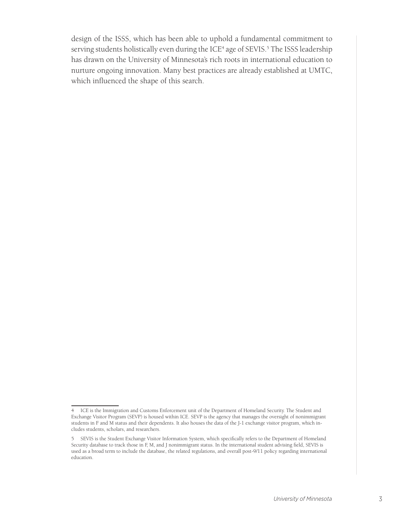design of the ISSS, which has been able to uphold a fundamental commitment to serving students holistically even during the ICE<sup>4</sup> age of SEVIS.<sup>5</sup> The ISSS leadership has drawn on the University of Minnesota's rich roots in international education to nurture ongoing innovation. Many best practices are already established at UMTC, which influenced the shape of this search.

<sup>4</sup> ICE is the Immigration and Customs Enforcement unit of the Department of Homeland Security. The Student and Exchange Visitor Program (SEVP) is housed within ICE. SEVP is the agency that manages the oversight of nonimmigrant students in F and M status and their dependents. It also houses the data of the J-1 exchange visitor program, which includes students, scholars, and researchers.

<sup>5</sup> SEVIS is the Student Exchange Visitor Information System, which specifically refers to the Department of Homeland Security database to track those in F, M, and J nonimmigrant status. In the international student advising field, SEVIS is used as a broad term to include the database, the related regulations, and overall post-9/11 policy regarding international education.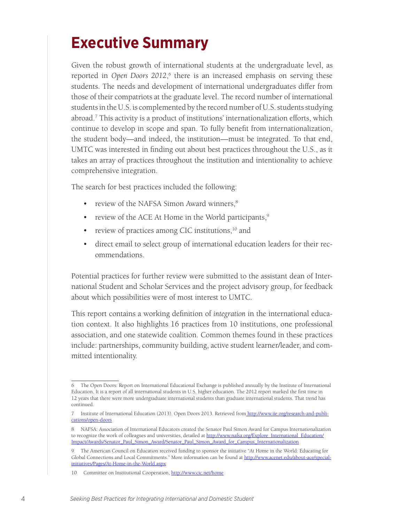### **Executive Summary**

Given the robust growth of international students at the undergraduate level, as reported in *Open Doors 2012*, 6 there is an increased emphasis on serving these students. The needs and development of international undergraduates differ from those of their compatriots at the graduate level. The record number of international students in the U.S. is complemented by the record number of U.S. students studying abroad.7 This activity is a product of institutions' internationalization efforts, which continue to develop in scope and span. To fully benefit from internationalization, the student body—and indeed, the institution—must be integrated. To that end, UMTC was interested in finding out about best practices throughout the U.S., as it takes an array of practices throughout the institution and intentionality to achieve comprehensive integration.

The search for best practices included the following:

- review of the NAFSA Simon Award winners,<sup>8</sup>
- review of the ACE At Home in the World participants, $9$
- review of practices among CIC institutions,<sup>10</sup> and
- direct email to select group of international education leaders for their recommendations.

Potential practices for further review were submitted to the assistant dean of International Student and Scholar Services and the project advisory group, for feedback about which possibilities were of most interest to UMTC.

This report contains a working definition of *integration* in the international education context. It also highlights 16 practices from 10 institutions, one professional association, and one statewide coalition. Common themes found in these practices include: partnerships, community building, active student learner/leader, and committed intentionality.

<sup>6</sup> The Open Doors: Report on International Educational Exchange is published annually by the Institute of International Education. It is a report of all international students in U.S. higher education. The 2012 report marked the first time in 12 years that there were more undergraduate international students than graduate international students. That trend has continued.

<sup>7</sup> Institute of International Education (2013). Open Doors 2013. Retrieved from http://www.iie.org/research-and-publications/open-doors

<sup>8</sup> NAFSA: Association of International Educators created the Senator Paul Simon Award for Campus Internationalization to recognize the work of colleagues and universities, detailed at http://www.nafsa.org/Explore\_International\_Education/ Impact/Awards/Senator\_Paul\_Simon\_Award/Senator\_Paul\_Simon\_Award\_for\_Campus\_Internationalization

<sup>9</sup> The American Council on Education received funding to sponsor the initiative "At Home in the World: Educating for Global Connections and Local Commitments." More information can be found at http://www.acenet.edu/about-ace/specialinitiatives/Pages/At-Home-in-the-World.aspx

<sup>10</sup> Committee on Institutional Cooperation, http://www.cic.net/home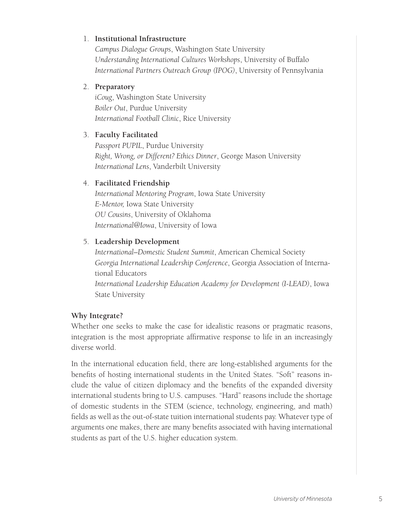#### 1. **Institutional Infrastructure**

*Campus Dialogue Groups*, Washington State University *Understanding International Cultures Workshops*, University of Buffalo *International Partners Outreach Group (IPOG)*, University of Pennsylvania

#### 2. **Preparatory**

*iCoug*, Washington State University *Boiler Out*, Purdue University *International Football Clinic*, Rice University

#### 3. **Faculty Facilitated**

*Passport PUPIL*, Purdue University *Right, Wrong, or Different? Ethics Dinner*, George Mason University *International Lens*, Vanderbilt University

#### 4. **Facilitated Friendship**

*International Mentoring Program*, Iowa State University *E-Mentor,* Iowa State University *OU Cousins*, University of Oklahoma *International@Iowa*, University of Iowa

#### 5. **Leadership Development**

*International–Domestic Student Summit*, American Chemical Society *Georgia International Leadership Conference*, Georgia Association of International Educators *International Leadership Education Academy for Development (I-LEAD)*, Iowa State University

#### **Why Integrate?**

Whether one seeks to make the case for idealistic reasons or pragmatic reasons, integration is the most appropriate affirmative response to life in an increasingly diverse world.

In the international education field, there are long-established arguments for the benefits of hosting international students in the United States. "Soft" reasons include the value of citizen diplomacy and the benefits of the expanded diversity international students bring to U.S. campuses. "Hard" reasons include the shortage of domestic students in the STEM (science, technology, engineering, and math) fields as well as the out-of-state tuition international students pay. Whatever type of arguments one makes, there are many benefits associated with having international students as part of the U.S. higher education system.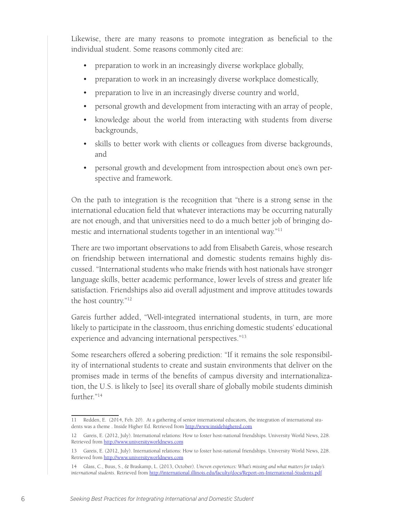Likewise, there are many reasons to promote integration as beneficial to the individual student. Some reasons commonly cited are:

- preparation to work in an increasingly diverse workplace globally,
- preparation to work in an increasingly diverse workplace domestically,
- preparation to live in an increasingly diverse country and world,
- personal growth and development from interacting with an array of people,
- knowledge about the world from interacting with students from diverse backgrounds,
- skills to better work with clients or colleagues from diverse backgrounds, and
- personal growth and development from introspection about one's own perspective and framework.

On the path to integration is the recognition that "there is a strong sense in the international education field that whatever interactions may be occurring naturally are not enough, and that universities need to do a much better job of bringing domestic and international students together in an intentional way."11

There are two important observations to add from Elisabeth Gareis, whose research on friendship between international and domestic students remains highly discussed. "International students who make friends with host nationals have stronger language skills, better academic performance, lower levels of stress and greater life satisfaction. Friendships also aid overall adjustment and improve attitudes towards the host country."12

Gareis further added, "Well-integrated international students, in turn, are more likely to participate in the classroom, thus enriching domestic students' educational experience and advancing international perspectives."13

Some researchers offered a sobering prediction: "If it remains the sole responsibility of international students to create and sustain environments that deliver on the promises made in terms of the benefits of campus diversity and internationalization, the U.S. is likely to [see] its overall share of globally mobile students diminish further."<sup>14</sup>

<sup>11</sup> Redden, E. (2014, Feb. 20). At a gathering of senior international educators, the integration of international students was a theme . Inside Higher Ed. Retrieved from http://www.insidehighered.com

<sup>12</sup> Gareis, E. (2012, July). International relations: How to foster host-national friendships. University World News, 228. Retrieved from http://www.universityworldnews.com

<sup>13</sup> Gareis, E. (2012, July). International relations: How to foster host-national friendships. University World News, 228. Retrieved from http://www.universityworldnews.com

<sup>14</sup> Glass, C., Buus, S., & Braskamp, L. (2013, October). *Uneven experiences: What's missing and what matters for today's international students*. Retrieved from http://international.illinois.edu/faculty/docs/Report-on-International-Students.pdf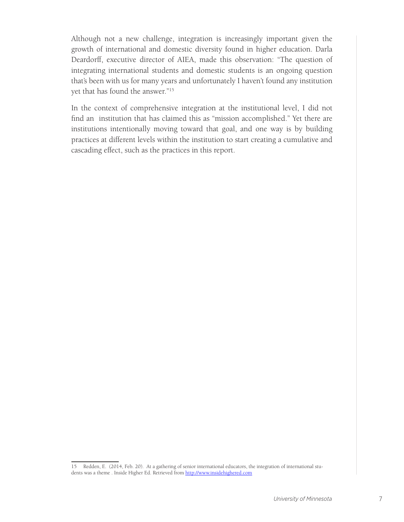Although not a new challenge, integration is increasingly important given the growth of international and domestic diversity found in higher education. Darla Deardorff, executive director of AIEA, made this observation: "The question of integrating international students and domestic students is an ongoing question that's been with us for many years and unfortunately I haven't found any institution yet that has found the answer."15

In the context of comprehensive integration at the institutional level, I did not find an institution that has claimed this as "mission accomplished." Yet there are institutions intentionally moving toward that goal, and one way is by building practices at different levels within the institution to start creating a cumulative and cascading effect, such as the practices in this report.

<sup>15</sup> Redden, E. (2014, Feb. 20). At a gathering of senior international educators, the integration of international students was a theme . Inside Higher Ed. Retrieved from http://www.insidehighered.com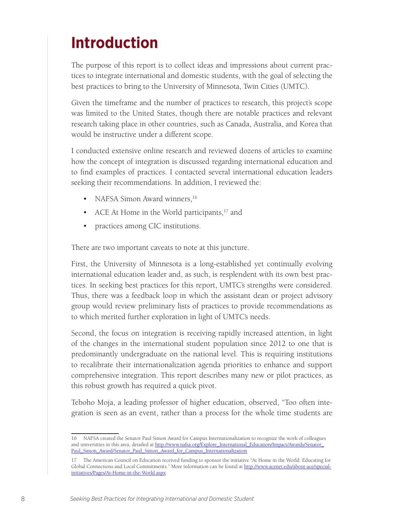# **Introduction**

The purpose of this report is to collect ideas and impressions about current practices to integrate international and domestic students, with the goal of selecting the best practices to bring to the University of Minnesota, Twin Cities (UMTC).

Given the timeframe and the number of practices to research, this project's scope was limited to the United States, though there are notable practices and relevant research taking place in other countries, such as Canada, Australia, and Korea that would be instructive under a different scope.

I conducted extensive online research and reviewed dozens of articles to examine how the concept of integration is discussed regarding international education and to find examples of practices. I contacted several international education leaders seeking their recommendations. In addition, I reviewed the:

- NAFSA Simon Award winners,<sup>16</sup>
- ACE At Home in the World participants, $17$  and
- practices among CIC institutions.

There are two important caveats to note at this juncture.

First, the University of Minnesota is a long-established yet continually evolving international education leader and, as such, is resplendent with its own best practices. In seeking best practices for this report, UMTC's strengths were considered. Thus, there was a feedback loop in which the assistant dean or project advisory group would review preliminary lists of practices to provide recommendations as to which merited further exploration in light of UMTC's needs.

Second, the focus on integration is receiving rapidly increased attention, in light of the changes in the international student population since 2012 to one that is predominantly undergraduate on the national level. This is requiring institutions to recalibrate their internationalization agenda priorities to enhance and support comprehensive integration. This report describes many new or pilot practices, as this robust growth has required a quick pivot.

Teboho Moja, a leading professor of higher education, observed, "Too often integration is seen as an event, rather than a process for the whole time students are

<sup>16</sup> NAFSA created the Senator Paul Simon Award for Campus Internationalization to recognize the work of colleagues and universities in this area, detailed at http://www.nafsa.org/Explore\_International\_Education/Impact/Awards/Senator\_ Paul\_Simon\_Award/Senator\_Paul\_Simon\_Award\_for\_Campus\_Internationalization

<sup>17</sup> The American Council on Education received funding to sponsor the initiative "At Home in the World: Educating for Global Connections and Local Commitments." More information can be found at http://www.acenet.edu/about-ace/specialinitiatives/Pages/At-Home-in-the-World.aspx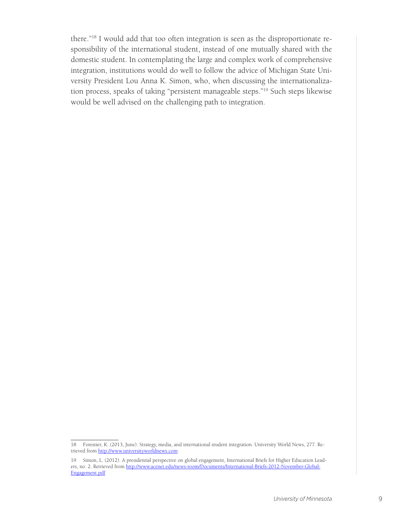there."18 I would add that too often integration is seen as the disproportionate responsibility of the international student, instead of one mutually shared with the domestic student. In contemplating the large and complex work of comprehensive integration, institutions would do well to follow the advice of Michigan State University President Lou Anna K. Simon, who, when discussing the internationalization process, speaks of taking "persistent manageable steps."19 Such steps likewise would be well advised on the challenging path to integration.

<sup>18</sup> Forestier, K. (2013, June). Strategy, media, and international student integration. University World News, 277. Retrieved from http://www.universityworldnews.com

<sup>19</sup> Simon, L. (2012). A presidential perspective on global engagement, International Briefs for Higher Education Leaders, no. 2. Retrieved from http://www.acenet.edu/news-room/Documents/International-Briefs-2012-November-Global-Engagement.pdf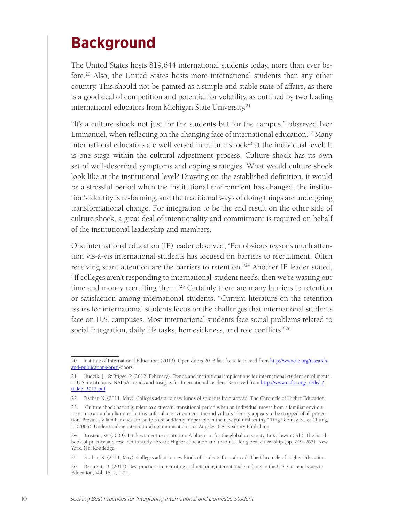### **Background**

The United States hosts 819,644 international students today, more than ever before.<sup>20</sup> Also, the United States hosts more international students than any other country. This should not be painted as a simple and stable state of affairs, as there is a good deal of competition and potential for volatility, as outlined by two leading international educators from Michigan State University.<sup>21</sup>

"It's a culture shock not just for the students but for the campus," observed Ivor Emmanuel, when reflecting on the changing face of international education.<sup>22</sup> Many international educators are well versed in culture shock<sup>23</sup> at the individual level: It is one stage within the cultural adjustment process. Culture shock has its own set of well-described symptoms and coping strategies. What would culture shock look like at the institutional level? Drawing on the established definition, it would be a stressful period when the institutional environment has changed, the institution's identity is re-forming, and the traditional ways of doing things are undergoing transformational change. For integration to be the end result on the other side of culture shock, a great deal of intentionality and commitment is required on behalf of the institutional leadership and members.

One international education (IE) leader observed, "For obvious reasons much attention vis-à-vis international students has focused on barriers to recruitment. Often receiving scant attention are the barriers to retention."24 Another IE leader stated, "If colleges aren't responding to international-student needs, then we're wasting our time and money recruiting them."<sup>25</sup> Certainly there are many barriers to retention or satisfaction among international students. "Current literature on the retention issues for international students focus on the challenges that international students face on U.S. campuses. Most international students face social problems related to social integration, daily life tasks, homesickness, and role conflicts."<sup>26</sup>

<sup>20</sup> Institute of International Education. (2013). Open doors 2013 fast facts. Retrieved from http://www.iie.org/researchand-publications/open-doors

<sup>21</sup> Hudzik, J., & Briggs, P. (2012, February). Trends and institutional implications for international student enrollments in U.S. institutions. NAFSA Trends and Insights for International Leaders. Retrieved from http://www.nafsa.org/\_/File/\_/ ti\_feb\_2012.pdf

<sup>22</sup> Fischer, K. (2011, May). Colleges adapt to new kinds of students from abroad. The Chronicle of Higher Education.

<sup>23 &</sup>quot;Culture shock basically refers to a stressful transitional period when an individual moves from a familiar environment into an unfamiliar one. In this unfamiliar environment, the individual's identity appears to be stripped of all protection. Previously familiar cues and scripts are suddenly inoperable in the new cultural setting." Ting-Toomey, S., & Chung, L. (2005). Understanding intercultural communication. Los Angeles, CA: Roxbury Publishing.

<sup>24</sup> Brustein, W. (2009). It takes an entire institution: A blueprint for the global university. In R. Lewin (Ed.), The handbook of practice and research in study abroad: Higher education and the quest for global citizenship (pp. 249–265). New York, NY: Routledge.

<sup>25</sup> Fischer, K. (2011, May). Colleges adapt to new kinds of students from abroad. The Chronicle of Higher Education.

<sup>26</sup> Özturgut, O. (2013). Best practices in recruiting and retaining international students in the U.S. Current Issues in Education, Vol. 16, 2, 1-21.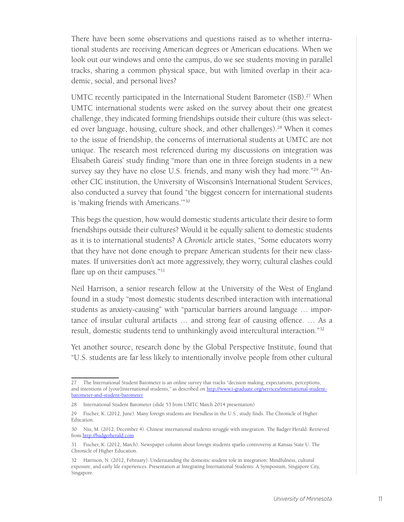There have been some observations and questions raised as to whether international students are receiving American degrees or American educations. When we look out our windows and onto the campus, do we see students moving in parallel tracks, sharing a common physical space, but with limited overlap in their academic, social, and personal lives?

UMTC recently participated in the International Student Barometer (ISB).<sup>27</sup> When UMTC international students were asked on the survey about their one greatest challenge, they indicated forming friendships outside their culture (this was selected over language, housing, culture shock, and other challenges).<sup>28</sup> When it comes to the issue of friendship, the concerns of international students at UMTC are not unique. The research most referenced during my discussions on integration was Elisabeth Gareis' study finding "more than one in three foreign students in a new survey say they have no close U.S. friends, and many wish they had more."<sup>29</sup> Another CIC institution, the University of Wisconsin's International Student Services, also conducted a survey that found "the biggest concern for international students is 'making friends with Americans.'"30

This begs the question, how would domestic students articulate their desire to form friendships outside their cultures? Would it be equally salient to domestic students as it is to international students? A *Chronicle* article states, "Some educators worry that they have not done enough to prepare American students for their new classmates. If universities don't act more aggressively, they worry, cultural clashes could flare up on their campuses."<sup>31</sup>

Neil Harrison, a senior research fellow at the University of the West of England found in a study "most domestic students described interaction with international students as anxiety-causing" with "particular barriers around language … importance of insular cultural artifacts … and strong fear of causing offence. … As a result, domestic students tend to unthinkingly avoid intercultural interaction."32

Yet another source, research done by the Global Perspective Institute, found that "U.S. students are far less likely to intentionally involve people from other cultural

<sup>27</sup> The International Student Barometer is an online survey that tracks "decision making, expectations, perceptions, and intentions of [your]international students," as described on http://www.i-graduate.org/services/international-studentbarometer-and-student-barometer

<sup>28</sup> International Student Barometer (slide 53 from UMTC March 2014 presentation)

<sup>29</sup> Fischer, K. (2012, June). Many foreign students are friendless in the U.S., study finds. The Chronicle of Higher Education.

<sup>30</sup> Niu, M. (2012, December 4). Chinese international students struggle with integration. The Badger Herald. Retrieved from http://badgerherald.com

<sup>31</sup> Fischer, K. (2012, March). Newspaper column about foreign students sparks controversy at Kansas State U. The Chronicle of Higher Education.

<sup>32</sup> Harrison, N. (2012, February). Understanding the domestic student role in integration: Mindfulness, cultural exposure, and early life experiences. Presentation at Integrating International Students: A Symposium, Singapore City, Singapore.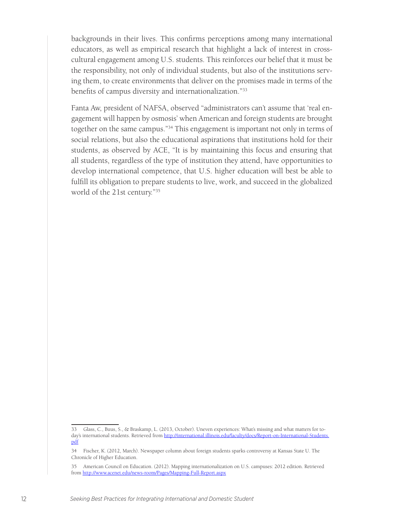backgrounds in their lives. This confirms perceptions among many international educators, as well as empirical research that highlight a lack of interest in crosscultural engagement among U.S. students. This reinforces our belief that it must be the responsibility, not only of individual students, but also of the institutions serving them, to create environments that deliver on the promises made in terms of the benefits of campus diversity and internationalization."33

Fanta Aw, president of NAFSA, observed "administrators can't assume that 'real engagement will happen by osmosis' when American and foreign students are brought together on the same campus."<sup>34</sup> This engagement is important not only in terms of social relations, but also the educational aspirations that institutions hold for their students, as observed by ACE, "It is by maintaining this focus and ensuring that all students, regardless of the type of institution they attend, have opportunities to develop international competence, that U.S. higher education will best be able to fulfill its obligation to prepare students to live, work, and succeed in the globalized world of the 21st century."35

<sup>33</sup> Glass, C., Buus, S., & Braskamp, L. (2013, October). Uneven experiences: What's missing and what matters for today's international students. Retrieved from http://international.illinois.edu/faculty/docs/Report-on-International-Students. pdf

<sup>34</sup> Fischer, K. (2012, March). Newspaper column about foreign students sparks controversy at Kansas State U. The Chronicle of Higher Education.

<sup>35</sup> American Council on Education. (2012). Mapping internationalization on U.S. campuses: 2012 edition. Retrieved from http://www.acenet.edu/news-room/Pages/Mapping-Full-Report.aspx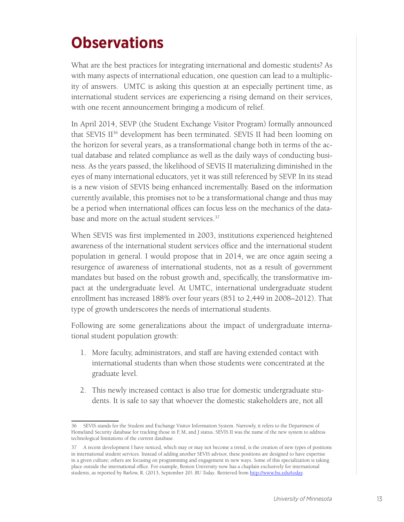# **Observations**

What are the best practices for integrating international and domestic students? As with many aspects of international education, one question can lead to a multiplicity of answers. UMTC is asking this question at an especially pertinent time, as international student services are experiencing a rising demand on their services, with one recent announcement bringing a modicum of relief.

In April 2014, SEVP (the Student Exchange Visitor Program) formally announced that SEVIS II<sup>36</sup> development has been terminated. SEVIS II had been looming on the horizon for several years, as a transformational change both in terms of the actual database and related compliance as well as the daily ways of conducting business. As the years passed, the likelihood of SEVIS II materializing diminished in the eyes of many international educators, yet it was still referenced by SEVP. In its stead is a new vision of SEVIS being enhanced incrementally. Based on the information currently available, this promises not to be a transformational change and thus may be a period when international offices can focus less on the mechanics of the database and more on the actual student services.<sup>37</sup>

When SEVIS was first implemented in 2003, institutions experienced heightened awareness of the international student services office and the international student population in general. I would propose that in 2014, we are once again seeing a resurgence of awareness of international students, not as a result of government mandates but based on the robust growth and, specifically, the transformative impact at the undergraduate level. At UMTC, international undergraduate student enrollment has increased 188% over four years (851 to 2,449 in 2008–2012). That type of growth underscores the needs of international students.

Following are some generalizations about the impact of undergraduate international student population growth:

- 1. More faculty, administrators, and staff are having extended contact with international students than when those students were concentrated at the graduate level.
- 2. This newly increased contact is also true for domestic undergraduate students. It is safe to say that whoever the domestic stakeholders are, not all

<sup>36</sup> SEVIS stands for the Student and Exchange Visitor Information System. Narrowly, it refers to the Department of Homeland Security database for tracking those in F, M, and J status. SEVIS II was the name of the new system to address technological limitations of the current database.

<sup>37</sup> A recent development I have noticed, which may or may not become a trend, is the creation of new types of positions in international student services. Instead of adding another SEVIS advisor, these positions are designed to have expertise in a given culture; others are focusing on programming and engagement in new ways. Some of this specialization is taking place outside the international office. For example, Boston University now has a chaplain exclusively for international students, as reported by Barlow, R. (2013, September 20). *BU Today*. Retrieved from http://www.bu.edu/today.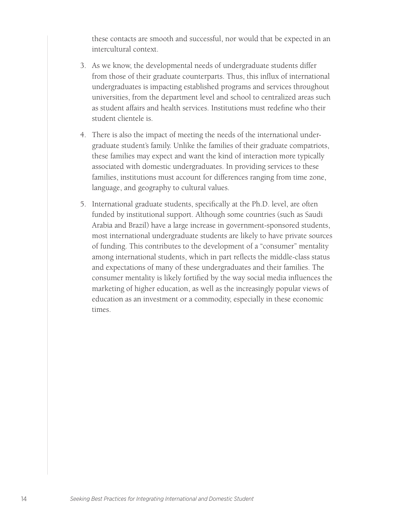these contacts are smooth and successful, nor would that be expected in an intercultural context.

- 3. As we know, the developmental needs of undergraduate students differ from those of their graduate counterparts. Thus, this influx of international undergraduates is impacting established programs and services throughout universities, from the department level and school to centralized areas such as student affairs and health services. Institutions must redefine who their student clientele is.
- 4. There is also the impact of meeting the needs of the international undergraduate student's family. Unlike the families of their graduate compatriots, these families may expect and want the kind of interaction more typically associated with domestic undergraduates. In providing services to these families, institutions must account for differences ranging from time zone, language, and geography to cultural values.
- 5. International graduate students, specifically at the Ph.D. level, are often funded by institutional support. Although some countries (such as Saudi Arabia and Brazil) have a large increase in government-sponsored students, most international undergraduate students are likely to have private sources of funding. This contributes to the development of a "consumer" mentality among international students, which in part reflects the middle-class status and expectations of many of these undergraduates and their families. The consumer mentality is likely fortified by the way social media influences the marketing of higher education, as well as the increasingly popular views of education as an investment or a commodity, especially in these economic times.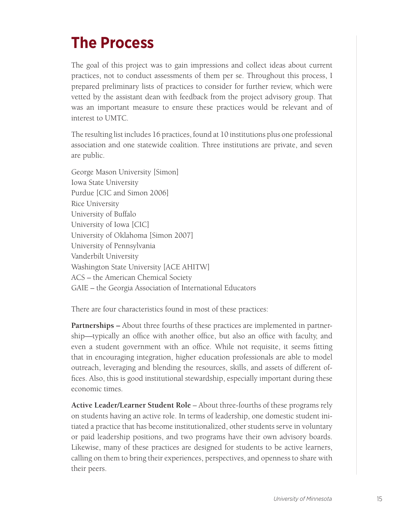## **The Process**

The goal of this project was to gain impressions and collect ideas about current practices, not to conduct assessments of them per se. Throughout this process, I prepared preliminary lists of practices to consider for further review, which were vetted by the assistant dean with feedback from the project advisory group. That was an important measure to ensure these practices would be relevant and of interest to UMTC.

The resulting list includes 16 practices, found at 10 institutions plus one professional association and one statewide coalition. Three institutions are private, and seven are public.

George Mason University [Simon] Iowa State University Purdue [CIC and Simon 2006] Rice University University of Buffalo University of Iowa [CIC] University of Oklahoma [Simon 2007] University of Pennsylvania Vanderbilt University Washington State University [ACE AHITW] ACS – the American Chemical Society GAIE – the Georgia Association of International Educators

There are four characteristics found in most of these practices:

**Partnerships –** About three fourths of these practices are implemented in partnership—typically an office with another office, but also an office with faculty, and even a student government with an office. While not requisite, it seems fitting that in encouraging integration, higher education professionals are able to model outreach, leveraging and blending the resources, skills, and assets of different offices. Also, this is good institutional stewardship, especially important during these economic times.

**Active Leader/Learner Student Role** – About three-fourths of these programs rely on students having an active role. In terms of leadership, one domestic student initiated a practice that has become institutionalized, other students serve in voluntary or paid leadership positions, and two programs have their own advisory boards. Likewise, many of these practices are designed for students to be active learners, calling on them to bring their experiences, perspectives, and openness to share with their peers.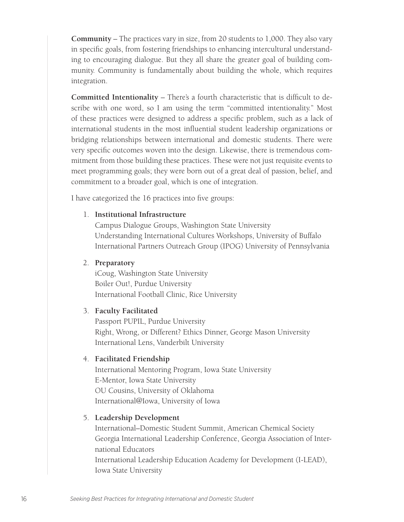**Community** – The practices vary in size, from 20 students to 1,000. They also vary in specific goals, from fostering friendships to enhancing intercultural understanding to encouraging dialogue. But they all share the greater goal of building community. Community is fundamentally about building the whole, which requires integration.

**Committed Intentionality** – There's a fourth characteristic that is difficult to describe with one word, so I am using the term "committed intentionality." Most of these practices were designed to address a specific problem, such as a lack of international students in the most influential student leadership organizations or bridging relationships between international and domestic students. There were very specific outcomes woven into the design. Likewise, there is tremendous commitment from those building these practices. These were not just requisite events to meet programming goals; they were born out of a great deal of passion, belief, and commitment to a broader goal, which is one of integration.

I have categorized the 16 practices into five groups:

#### 1. **Institutional Infrastructure**

Campus Dialogue Groups, Washington State University Understanding International Cultures Workshops, University of Buffalo International Partners Outreach Group (IPOG) University of Pennsylvania

#### 2. **Preparatory**

iCoug, Washington State University Boiler Out!, Purdue University International Football Clinic, Rice University

#### 3. **Faculty Facilitated**

Passport PUPIL, Purdue University Right, Wrong, or Different? Ethics Dinner, George Mason University International Lens, Vanderbilt University

#### 4. **Facilitated Friendship**

International Mentoring Program, Iowa State University E-Mentor, Iowa State University OU Cousins, University of Oklahoma International@Iowa, University of Iowa

#### 5. **Leadership Development**

International–Domestic Student Summit, American Chemical Society Georgia International Leadership Conference, Georgia Association of International Educators International Leadership Education Academy for Development (I-LEAD), Iowa State University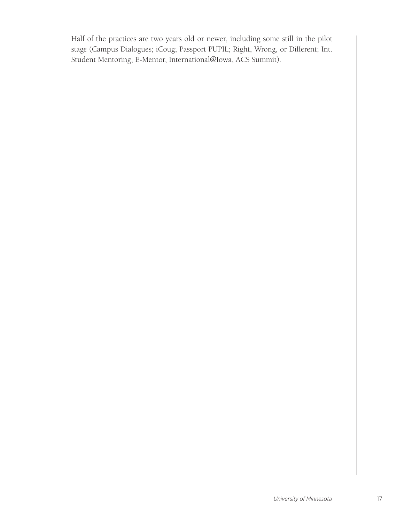Half of the practices are two years old or newer, including some still in the pilot stage (Campus Dialogues; iCoug; Passport PUPIL; Right, Wrong, or Different; Int. Student Mentoring, E-Mentor, International@Iowa, ACS Summit).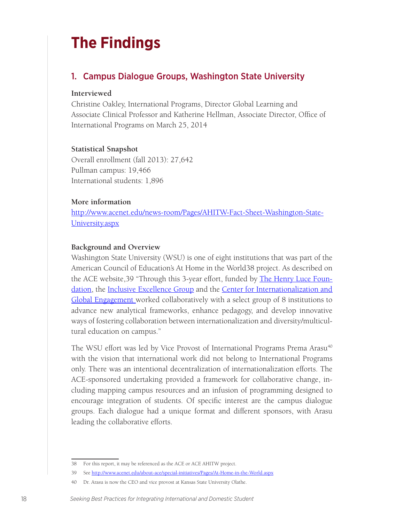## **The Findings**

### 1. Campus Dialogue Groups, Washington State University

#### **Interviewed**

Christine Oakley, International Programs, Director Global Learning and Associate Clinical Professor and Katherine Hellman, Associate Director, Office of International Programs on March 25, 2014

#### **Statistical Snapshot**

Overall enrollment (fall 2013): 27,642 Pullman campus: 19,466 International students: 1,896

#### **More information**

http://www.acenet.edu/news-room/Pages/AHITW-Fact-Sheet-Washington-State-University.aspx

#### **Background and Overview**

Washington State University (WSU) is one of eight institutions that was part of the American Council of Education's At Home in the World38 project. As described on the ACE website, 39 "Through this 3-year effort, funded by The Henry Luce Foundation, the Inclusive Excellence Group and the Center for Internationalization and Global Engagement worked collaboratively with a select group of 8 institutions to advance new analytical frameworks, enhance pedagogy, and develop innovative ways of fostering collaboration between internationalization and diversity/multicultural education on campus."

The WSU effort was led by Vice Provost of International Programs Prema Arasu<sup>40</sup> with the vision that international work did not belong to International Programs only. There was an intentional decentralization of internationalization efforts. The ACE-sponsored undertaking provided a framework for collaborative change, including mapping campus resources and an infusion of programming designed to encourage integration of students. Of specific interest are the campus dialogue groups. Each dialogue had a unique format and different sponsors, with Arasu leading the collaborative efforts.

<sup>38</sup> For this report, it may be referenced as the ACE or ACE AHITW project.

<sup>39</sup> See http://www.acenet.edu/about-ace/special-initiatives/Pages/At-Home-in-the-World.aspx

<sup>40</sup> Dr. Arasu is now the CEO and vice provost at Kansas State University Olathe.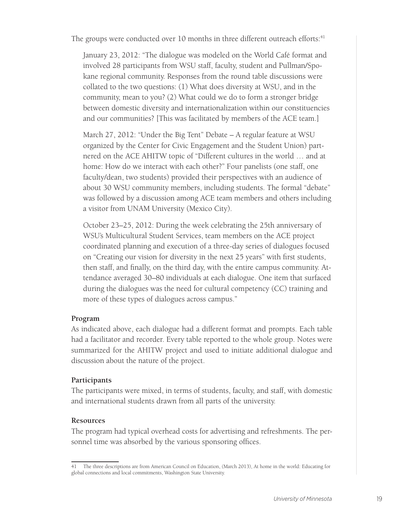The groups were conducted over 10 months in three different outreach efforts: $41$ 

January 23, 2012: "The dialogue was modeled on the World Café format and involved 28 participants from WSU staff, faculty, student and Pullman/Spokane regional community. Responses from the round table discussions were collated to the two questions: (1) What does diversity at WSU, and in the community, mean to you? (2) What could we do to form a stronger bridge between domestic diversity and internationalization within our constituencies and our communities? [This was facilitated by members of the ACE team.]

March 27, 2012: "Under the Big Tent" Debate – A regular feature at WSU organized by the Center for Civic Engagement and the Student Union) partnered on the ACE AHITW topic of "Different cultures in the world … and at home: How do we interact with each other?" Four panelists (one staff, one faculty/dean, two students) provided their perspectives with an audience of about 30 WSU community members, including students. The formal "debate" was followed by a discussion among ACE team members and others including a visitor from UNAM University (Mexico City).

October 23–25, 2012: During the week celebrating the 25th anniversary of WSU's Multicultural Student Services, team members on the ACE project coordinated planning and execution of a three-day series of dialogues focused on "Creating our vision for diversity in the next 25 years" with first students, then staff, and finally, on the third day, with the entire campus community. Attendance averaged 30–80 individuals at each dialogue. One item that surfaced during the dialogues was the need for cultural competency (CC) training and more of these types of dialogues across campus."

#### **Program**

As indicated above, each dialogue had a different format and prompts. Each table had a facilitator and recorder. Every table reported to the whole group. Notes were summarized for the AHITW project and used to initiate additional dialogue and discussion about the nature of the project.

#### **Participants**

The participants were mixed, in terms of students, faculty, and staff, with domestic and international students drawn from all parts of the university.

#### **Resources**

The program had typical overhead costs for advertising and refreshments. The personnel time was absorbed by the various sponsoring offices.

<sup>41</sup> The three descriptions are from American Council on Education, (March 2013), At home in the world: Educating for global connections and local commitments, Washington State University.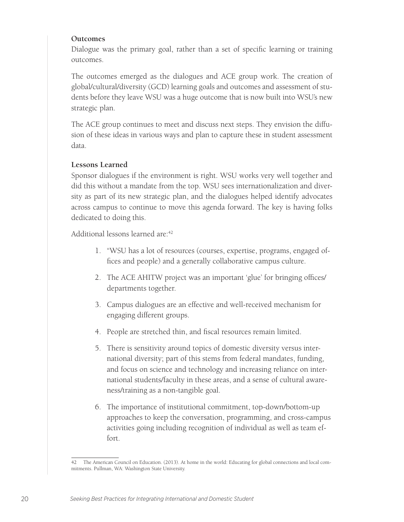#### **Outcomes**

Dialogue was the primary goal, rather than a set of specific learning or training outcomes.

The outcomes emerged as the dialogues and ACE group work. The creation of global/cultural/diversity (GCD) learning goals and outcomes and assessment of students before they leave WSU was a huge outcome that is now built into WSU's new strategic plan.

The ACE group continues to meet and discuss next steps. They envision the diffusion of these ideas in various ways and plan to capture these in student assessment data.

#### **Lessons Learned**

Sponsor dialogues if the environment is right. WSU works very well together and did this without a mandate from the top. WSU sees internationalization and diversity as part of its new strategic plan, and the dialogues helped identify advocates across campus to continue to move this agenda forward. The key is having folks dedicated to doing this.

Additional lessons learned are:<sup>42</sup>

- 1. "WSU has a lot of resources (courses, expertise, programs, engaged offices and people) and a generally collaborative campus culture.
- 2. The ACE AHITW project was an important 'glue' for bringing offices/ departments together.
- 3. Campus dialogues are an effective and well-received mechanism for engaging different groups.
- 4. People are stretched thin, and fiscal resources remain limited.
- 5. There is sensitivity around topics of domestic diversity versus international diversity; part of this stems from federal mandates, funding, and focus on science and technology and increasing reliance on international students/faculty in these areas, and a sense of cultural awareness/training as a non-tangible goal.
- 6. The importance of institutional commitment, top-down/bottom-up approaches to keep the conversation, programming, and cross-campus activities going including recognition of individual as well as team effort.

<sup>42</sup> The American Council on Education. (2013). At home in the world: Educating for global connections and local commitments. Pullman, WA: Washington State University.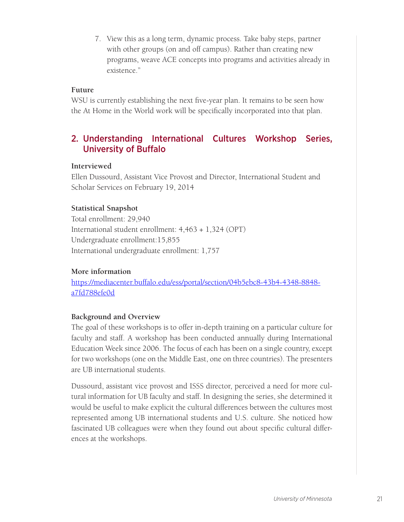7. View this as a long term, dynamic process. Take baby steps, partner with other groups (on and off campus). Rather than creating new programs, weave ACE concepts into programs and activities already in existence"

#### **Future**

WSU is currently establishing the next five-year plan. It remains to be seen how the At Home in the World work will be specifically incorporated into that plan.

### 2. Understanding International Cultures Workshop Series, University of Buffalo

#### **Interviewed**

Ellen Dussourd, Assistant Vice Provost and Director, International Student and Scholar Services on February 19, 2014

#### **Statistical Snapshot**

Total enrollment: 29,940 International student enrollment: 4,463 + 1,324 (OPT) Undergraduate enrollment:15,855 International undergraduate enrollment: 1,757

#### **More information**

https://mediacenter.buffalo.edu/ess/portal/section/04b5ebc8-43b4-4348-8848 a7fd788efe0d

#### **Background and Overview**

The goal of these workshops is to offer in-depth training on a particular culture for faculty and staff. A workshop has been conducted annually during International Education Week since 2006. The focus of each has been on a single country, except for two workshops (one on the Middle East, one on three countries). The presenters are UB international students.

Dussourd, assistant vice provost and ISSS director, perceived a need for more cultural information for UB faculty and staff. In designing the series, she determined it would be useful to make explicit the cultural differences between the cultures most represented among UB international students and U.S. culture. She noticed how fascinated UB colleagues were when they found out about specific cultural differences at the workshops.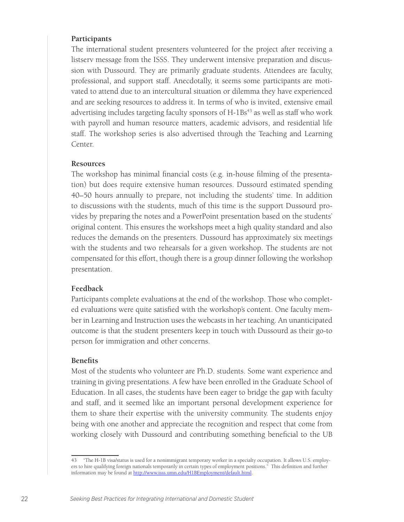#### **Participants**

The international student presenters volunteered for the project after receiving a listserv message from the ISSS. They underwent intensive preparation and discussion with Dussourd. They are primarily graduate students. Attendees are faculty, professional, and support staff. Anecdotally, it seems some participants are motivated to attend due to an intercultural situation or dilemma they have experienced and are seeking resources to address it. In terms of who is invited, extensive email advertising includes targeting faculty sponsors of H-1Bs<sup>43</sup> as well as staff who work with payroll and human resource matters, academic advisors, and residential life staff. The workshop series is also advertised through the Teaching and Learning Center.

#### **Resources**

The workshop has minimal financial costs (e.g. in-house filming of the presentation) but does require extensive human resources. Dussourd estimated spending 40–50 hours annually to prepare, not including the students' time. In addition to discussions with the students, much of this time is the support Dussourd provides by preparing the notes and a PowerPoint presentation based on the students' original content. This ensures the workshops meet a high quality standard and also reduces the demands on the presenters. Dussourd has approximately six meetings with the students and two rehearsals for a given workshop. The students are not compensated for this effort, though there is a group dinner following the workshop presentation.

#### **Feedback**

Participants complete evaluations at the end of the workshop. Those who completed evaluations were quite satisfied with the workshop's content. One faculty member in Learning and Instruction uses the webcasts in her teaching. An unanticipated outcome is that the student presenters keep in touch with Dussourd as their go-to person for immigration and other concerns.

#### **Benefits**

Most of the students who volunteer are Ph.D. students. Some want experience and training in giving presentations. A few have been enrolled in the Graduate School of Education. In all cases, the students have been eager to bridge the gap with faculty and staff, and it seemed like an important personal development experience for them to share their expertise with the university community. The students enjoy being with one another and appreciate the recognition and respect that come from working closely with Dussourd and contributing something beneficial to the UB

<sup>43 &</sup>quot;The H-1B visa/status is used for a nonimmigrant temporary worker in a specialty occupation. It allows U.S. employers to hire qualifying foreign nationals temporarily in certain types of employment positions." This definition and further information may be found at http://www.isss.umn.edu/H1BEmployment/default.html.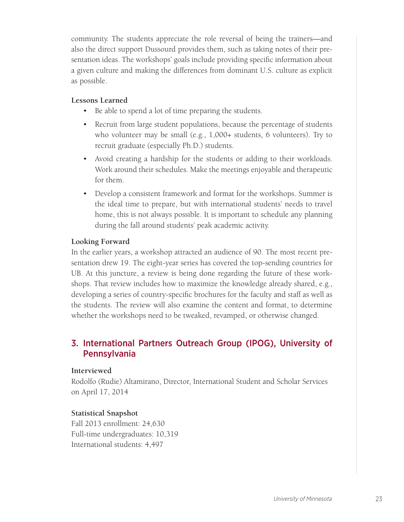community. The students appreciate the role reversal of being the trainers—and also the direct support Dussourd provides them, such as taking notes of their presentation ideas. The workshops' goals include providing specific information about a given culture and making the differences from dominant U.S. culture as explicit as possible.

#### **Lessons Learned**

- Be able to spend a lot of time preparing the students.
- Recruit from large student populations, because the percentage of students who volunteer may be small (e.g., 1,000+ students, 6 volunteers). Try to recruit graduate (especially Ph.D.) students.
- Avoid creating a hardship for the students or adding to their workloads. Work around their schedules. Make the meetings enjoyable and therapeutic for them.
- Develop a consistent framework and format for the workshops. Summer is the ideal time to prepare, but with international students' needs to travel home, this is not always possible. It is important to schedule any planning during the fall around students' peak academic activity.

#### **Looking Forward**

In the earlier years, a workshop attracted an audience of 90. The most recent presentation drew 19. The eight-year series has covered the top-sending countries for UB. At this juncture, a review is being done regarding the future of these workshops. That review includes how to maximize the knowledge already shared, e.g., developing a series of country-specific brochures for the faculty and staff as well as the students. The review will also examine the content and format, to determine whether the workshops need to be tweaked, revamped, or otherwise changed.

### 3. International Partners Outreach Group (IPOG), University of Pennsylvania

#### **Interviewed**

Rodolfo (Rudie) Altamirano, Director, International Student and Scholar Services on April 17, 2014

#### **Statistical Snapshot**

Fall 2013 enrollment: 24,630 Full-time undergraduates: 10,319 International students: 4,497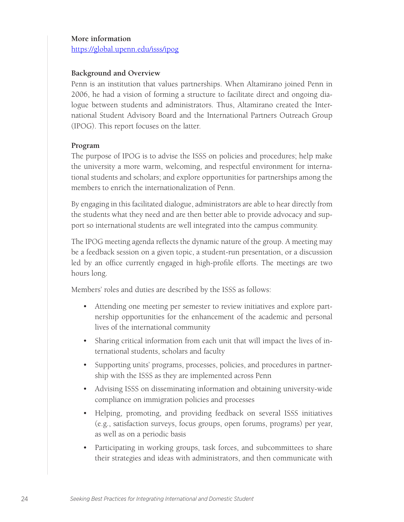#### **More information**

https://global.upenn.edu/isss/ipog

#### **Background and Overview**

Penn is an institution that values partnerships. When Altamirano joined Penn in 2006, he had a vision of forming a structure to facilitate direct and ongoing dialogue between students and administrators. Thus, Altamirano created the International Student Advisory Board and the International Partners Outreach Group (IPOG). This report focuses on the latter.

#### **Program**

The purpose of IPOG is to advise the ISSS on policies and procedures; help make the university a more warm, welcoming, and respectful environment for international students and scholars; and explore opportunities for partnerships among the members to enrich the internationalization of Penn.

By engaging in this facilitated dialogue, administrators are able to hear directly from the students what they need and are then better able to provide advocacy and support so international students are well integrated into the campus community.

The IPOG meeting agenda reflects the dynamic nature of the group. A meeting may be a feedback session on a given topic, a student-run presentation, or a discussion led by an office currently engaged in high-profile efforts. The meetings are two hours long.

Members' roles and duties are described by the ISSS as follows:

- Attending one meeting per semester to review initiatives and explore partnership opportunities for the enhancement of the academic and personal lives of the international community
- Sharing critical information from each unit that will impact the lives of international students, scholars and faculty
- Supporting units' programs, processes, policies, and procedures in partnership with the ISSS as they are implemented across Penn
- Advising ISSS on disseminating information and obtaining university-wide compliance on immigration policies and processes
- Helping, promoting, and providing feedback on several ISSS initiatives (e.g., satisfaction surveys, focus groups, open forums, programs) per year, as well as on a periodic basis
- Participating in working groups, task forces, and subcommittees to share their strategies and ideas with administrators, and then communicate with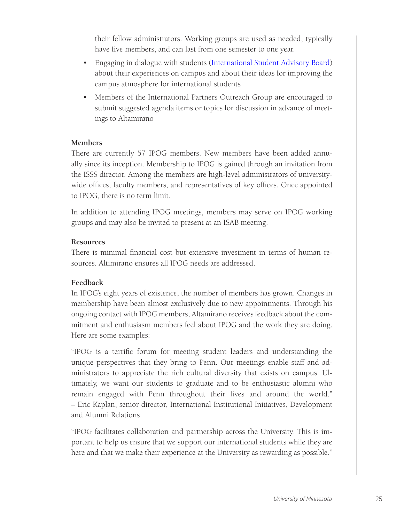their fellow administrators. Working groups are used as needed, typically have five members, and can last from one semester to one year.

- Engaging in dialogue with students (International Student Advisory Board) about their experiences on campus and about their ideas for improving the campus atmosphere for international students
- Members of the International Partners Outreach Group are encouraged to submit suggested agenda items or topics for discussion in advance of meetings to Altamirano

#### **Members**

There are currently 57 IPOG members. New members have been added annually since its inception. Membership to IPOG is gained through an invitation from the ISSS director. Among the members are high-level administrators of universitywide offices, faculty members, and representatives of key offices. Once appointed to IPOG, there is no term limit.

In addition to attending IPOG meetings, members may serve on IPOG working groups and may also be invited to present at an ISAB meeting.

#### **Resources**

There is minimal financial cost but extensive investment in terms of human resources. Altimirano ensures all IPOG needs are addressed.

#### **Feedback**

In IPOG's eight years of existence, the number of members has grown. Changes in membership have been almost exclusively due to new appointments. Through his ongoing contact with IPOG members, Altamirano receives feedback about the commitment and enthusiasm members feel about IPOG and the work they are doing. Here are some examples:

"IPOG is a terrific forum for meeting student leaders and understanding the unique perspectives that they bring to Penn. Our meetings enable staff and administrators to appreciate the rich cultural diversity that exists on campus. Ultimately, we want our students to graduate and to be enthusiastic alumni who remain engaged with Penn throughout their lives and around the world." – Eric Kaplan, senior director, International Institutional Initiatives, Development and Alumni Relations

"IPOG facilitates collaboration and partnership across the University. This is important to help us ensure that we support our international students while they are here and that we make their experience at the University as rewarding as possible."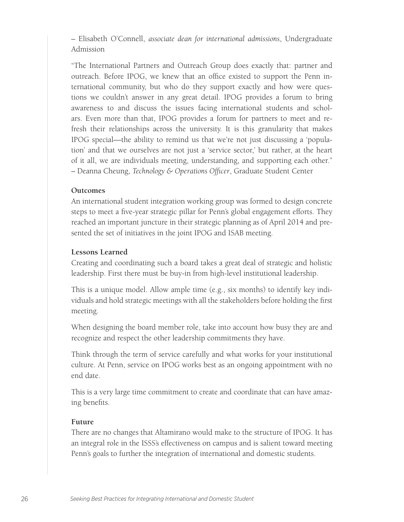– Elisabeth O'Connell, *associate dean for international admissions*, Undergraduate Admission

"The International Partners and Outreach Group does exactly that: partner and outreach. Before IPOG, we knew that an office existed to support the Penn international community, but who do they support exactly and how were questions we couldn't answer in any great detail. IPOG provides a forum to bring awareness to and discuss the issues facing international students and scholars. Even more than that, IPOG provides a forum for partners to meet and refresh their relationships across the university. It is this granularity that makes IPOG special—the ability to remind us that we're not just discussing a 'population' and that we ourselves are not just a 'service sector,' but rather, at the heart of it all, we are individuals meeting, understanding, and supporting each other." – Deanna Cheung, *Technology & Operations Officer*, Graduate Student Center

#### **Outcomes**

An international student integration working group was formed to design concrete steps to meet a five-year strategic pillar for Penn's global engagement efforts. They reached an important juncture in their strategic planning as of April 2014 and presented the set of initiatives in the joint IPOG and ISAB meeting.

#### **Lessons Learned**

Creating and coordinating such a board takes a great deal of strategic and holistic leadership. First there must be buy-in from high-level institutional leadership.

This is a unique model. Allow ample time (e.g., six months) to identify key individuals and hold strategic meetings with all the stakeholders before holding the first meeting.

When designing the board member role, take into account how busy they are and recognize and respect the other leadership commitments they have.

Think through the term of service carefully and what works for your institutional culture. At Penn, service on IPOG works best as an ongoing appointment with no end date.

This is a very large time commitment to create and coordinate that can have amazing benefits.

#### **Future**

There are no changes that Altamirano would make to the structure of IPOG. It has an integral role in the ISSS's effectiveness on campus and is salient toward meeting Penn's goals to further the integration of international and domestic students.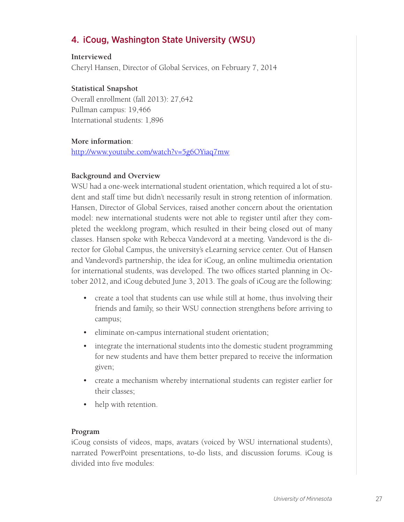### 4. iCoug, Washington State University (WSU)

#### **Interviewed**

Cheryl Hansen, Director of Global Services, on February 7, 2014

#### **Statistical Snapshot**

Overall enrollment (fall 2013): 27,642 Pullman campus: 19,466 International students: 1,896

#### **More information**:

http://www.youtube.com/watch?v=5g6OYiaq7mw

#### **Background and Overview**

WSU had a one-week international student orientation, which required a lot of student and staff time but didn't necessarily result in strong retention of information. Hansen, Director of Global Services, raised another concern about the orientation model: new international students were not able to register until after they completed the weeklong program, which resulted in their being closed out of many classes. Hansen spoke with Rebecca Vandevord at a meeting. Vandevord is the director for Global Campus, the university's eLearning service center. Out of Hansen and Vandevord's partnership, the idea for iCoug, an online multimedia orientation for international students, was developed. The two offices started planning in October 2012, and iCoug debuted June 3, 2013. The goals of iCoug are the following:

- create a tool that students can use while still at home, thus involving their friends and family, so their WSU connection strengthens before arriving to campus;
- eliminate on-campus international student orientation;
- integrate the international students into the domestic student programming for new students and have them better prepared to receive the information given;
- create a mechanism whereby international students can register earlier for their classes;
- help with retention.

#### **Program**

iCoug consists of videos, maps, avatars (voiced by WSU international students), narrated PowerPoint presentations, to-do lists, and discussion forums. iCoug is divided into five modules: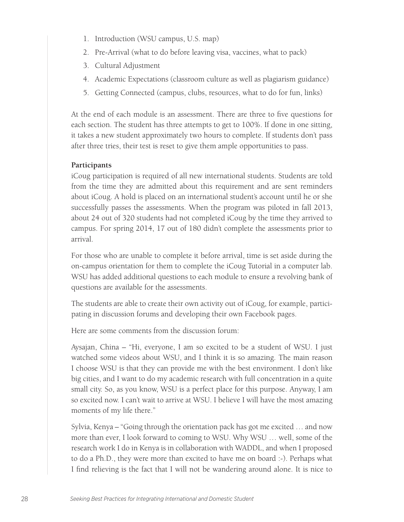- 1. Introduction (WSU campus, U.S. map)
- 2. Pre-Arrival (what to do before leaving visa, vaccines, what to pack)
- 3. Cultural Adjustment
- 4. Academic Expectations (classroom culture as well as plagiarism guidance)
- 5. Getting Connected (campus, clubs, resources, what to do for fun, links)

At the end of each module is an assessment. There are three to five questions for each section. The student has three attempts to get to 100%. If done in one sitting, it takes a new student approximately two hours to complete. If students don't pass after three tries, their test is reset to give them ample opportunities to pass.

#### **Participants**

iCoug participation is required of all new international students. Students are told from the time they are admitted about this requirement and are sent reminders about iCoug. A hold is placed on an international student's account until he or she successfully passes the assessments. When the program was piloted in fall 2013, about 24 out of 320 students had not completed iCoug by the time they arrived to campus. For spring 2014, 17 out of 180 didn't complete the assessments prior to arrival.

For those who are unable to complete it before arrival, time is set aside during the on-campus orientation for them to complete the iCoug Tutorial in a computer lab. WSU has added additional questions to each module to ensure a revolving bank of questions are available for the assessments.

The students are able to create their own activity out of iCoug, for example, participating in discussion forums and developing their own Facebook pages.

Here are some comments from the discussion forum:

Aysajan, China – "Hi, everyone, I am so excited to be a student of WSU. I just watched some videos about WSU, and I think it is so amazing. The main reason I choose WSU is that they can provide me with the best environment. I don't like big cities, and I want to do my academic research with full concentration in a quite small city. So, as you know, WSU is a perfect place for this purpose. Anyway, I am so excited now. I can't wait to arrive at WSU. I believe I will have the most amazing moments of my life there."

Sylvia, Kenya – "Going through the orientation pack has got me excited … and now more than ever, I look forward to coming to WSU. Why WSU … well, some of the research work I do in Kenya is in collaboration with WADDL, and when I proposed to do a Ph.D., they were more than excited to have me on board :-). Perhaps what I find relieving is the fact that I will not be wandering around alone. It is nice to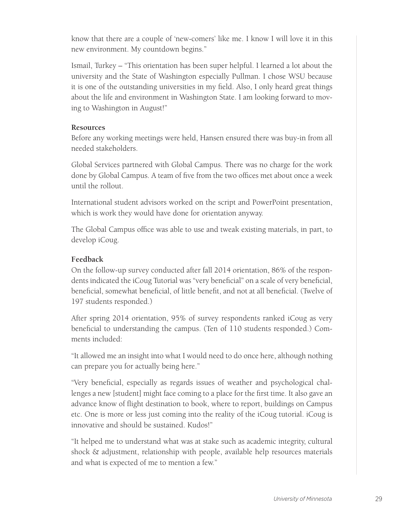know that there are a couple of 'new-comers' like me. I know I will love it in this new environment. My countdown begins."

Ismail, Turkey – "This orientation has been super helpful. I learned a lot about the university and the State of Washington especially Pullman. I chose WSU because it is one of the outstanding universities in my field. Also, I only heard great things about the life and environment in Washington State. I am looking forward to moving to Washington in August!"

#### **Resources**

Before any working meetings were held, Hansen ensured there was buy-in from all needed stakeholders.

Global Services partnered with Global Campus. There was no charge for the work done by Global Campus. A team of five from the two offices met about once a week until the rollout.

International student advisors worked on the script and PowerPoint presentation, which is work they would have done for orientation anyway.

The Global Campus office was able to use and tweak existing materials, in part, to develop iCoug.

#### **Feedback**

On the follow-up survey conducted after fall 2014 orientation, 86% of the respondents indicated the iCoug Tutorial was "very beneficial" on a scale of very beneficial, beneficial, somewhat beneficial, of little benefit, and not at all beneficial. (Twelve of 197 students responded.)

After spring 2014 orientation, 95% of survey respondents ranked iCoug as very beneficial to understanding the campus. (Ten of 110 students responded.) Comments included:

"It allowed me an insight into what I would need to do once here, although nothing can prepare you for actually being here."

"Very beneficial, especially as regards issues of weather and psychological challenges a new [student] might face coming to a place for the first time. It also gave an advance know of flight destination to book, where to report, buildings on Campus etc. One is more or less just coming into the reality of the iCoug tutorial. iCoug is innovative and should be sustained. Kudos!"

"It helped me to understand what was at stake such as academic integrity, cultural shock & adjustment, relationship with people, available help resources materials and what is expected of me to mention a few."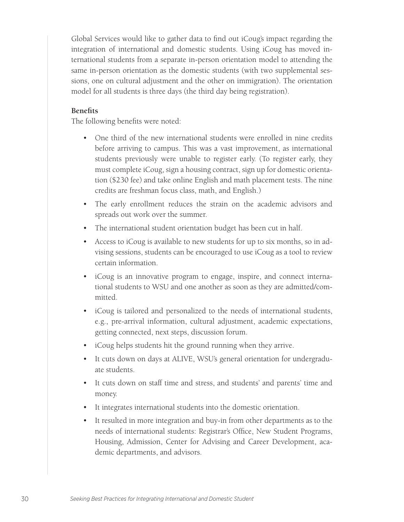Global Services would like to gather data to find out iCoug's impact regarding the integration of international and domestic students. Using iCoug has moved international students from a separate in-person orientation model to attending the same in-person orientation as the domestic students (with two supplemental sessions, one on cultural adjustment and the other on immigration). The orientation model for all students is three days (the third day being registration).

#### **Benefits**

The following benefits were noted:

- One third of the new international students were enrolled in nine credits before arriving to campus. This was a vast improvement, as international students previously were unable to register early. (To register early, they must complete iCoug, sign a housing contract, sign up for domestic orientation (\$230 fee) and take online English and math placement tests. The nine credits are freshman focus class, math, and English.)
- The early enrollment reduces the strain on the academic advisors and spreads out work over the summer.
- The international student orientation budget has been cut in half.
- Access to iCoug is available to new students for up to six months, so in advising sessions, students can be encouraged to use iCoug as a tool to review certain information.
- iCoug is an innovative program to engage, inspire, and connect international students to WSU and one another as soon as they are admitted/committed.
- iCoug is tailored and personalized to the needs of international students, e.g., pre-arrival information, cultural adjustment, academic expectations, getting connected, next steps, discussion forum.
- iCoug helps students hit the ground running when they arrive.
- It cuts down on days at ALIVE, WSU's general orientation for undergraduate students.
- It cuts down on staff time and stress, and students' and parents' time and money.
- It integrates international students into the domestic orientation.
- It resulted in more integration and buy-in from other departments as to the needs of international students: Registrar's Office, New Student Programs, Housing, Admission, Center for Advising and Career Development, academic departments, and advisors.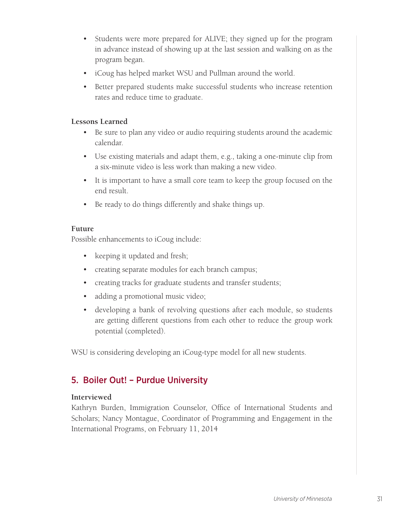- Students were more prepared for ALIVE; they signed up for the program in advance instead of showing up at the last session and walking on as the program began.
- iCoug has helped market WSU and Pullman around the world.
- Better prepared students make successful students who increase retention rates and reduce time to graduate.

#### **Lessons Learned**

- Be sure to plan any video or audio requiring students around the academic calendar.
- Use existing materials and adapt them, e.g., taking a one-minute clip from a six-minute video is less work than making a new video.
- It is important to have a small core team to keep the group focused on the end result.
- Be ready to do things differently and shake things up.

#### **Future**

Possible enhancements to iCoug include:

- keeping it updated and fresh;
- creating separate modules for each branch campus;
- creating tracks for graduate students and transfer students;
- adding a promotional music video;
- developing a bank of revolving questions after each module, so students are getting different questions from each other to reduce the group work potential (completed).

WSU is considering developing an iCoug-type model for all new students.

### 5. Boiler Out! – Purdue University

#### **Interviewed**

Kathryn Burden, Immigration Counselor, Office of International Students and Scholars; Nancy Montague, Coordinator of Programming and Engagement in the International Programs, on February 11, 2014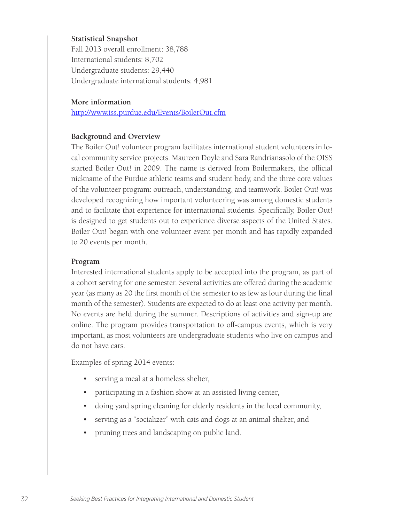#### **Statistical Snapshot**

Fall 2013 overall enrollment: 38,788 International students: 8,702 Undergraduate students: 29,440 Undergraduate international students: 4,981

#### **More information**

http://www.iss.purdue.edu/Events/BoilerOut.cfm

#### **Background and Overview**

The Boiler Out! volunteer program facilitates international student volunteers in local community service projects. Maureen Doyle and Sara Randrianasolo of the OISS started Boiler Out! in 2009. The name is derived from Boilermakers, the official nickname of the Purdue athletic teams and student body, and the three core values of the volunteer program: outreach, understanding, and teamwork. Boiler Out! was developed recognizing how important volunteering was among domestic students and to facilitate that experience for international students. Specifically, Boiler Out! is designed to get students out to experience diverse aspects of the United States. Boiler Out! began with one volunteer event per month and has rapidly expanded to 20 events per month.

#### **Program**

Interested international students apply to be accepted into the program, as part of a cohort serving for one semester. Several activities are offered during the academic year (as many as 20 the first month of the semester to as few as four during the final month of the semester). Students are expected to do at least one activity per month. No events are held during the summer. Descriptions of activities and sign-up are online. The program provides transportation to off-campus events, which is very important, as most volunteers are undergraduate students who live on campus and do not have cars.

Examples of spring 2014 events:

- serving a meal at a homeless shelter,
- participating in a fashion show at an assisted living center,
- doing yard spring cleaning for elderly residents in the local community,
- serving as a "socializer" with cats and dogs at an animal shelter, and
- pruning trees and landscaping on public land.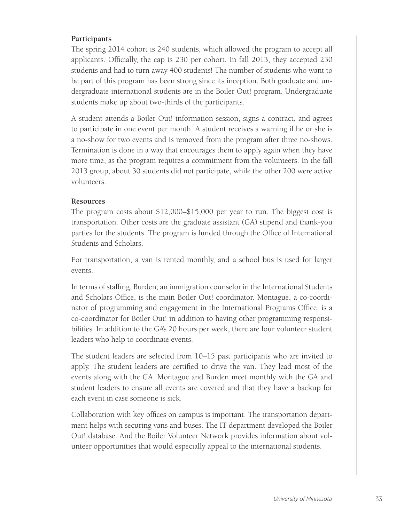# **Participants**

The spring 2014 cohort is 240 students, which allowed the program to accept all applicants. Officially, the cap is 230 per cohort. In fall 2013, they accepted 230 students and had to turn away 400 students! The number of students who want to be part of this program has been strong since its inception. Both graduate and undergraduate international students are in the Boiler Out! program. Undergraduate students make up about two-thirds of the participants.

A student attends a Boiler Out! information session, signs a contract, and agrees to participate in one event per month. A student receives a warning if he or she is a no-show for two events and is removed from the program after three no-shows. Termination is done in a way that encourages them to apply again when they have more time, as the program requires a commitment from the volunteers. In the fall 2013 group, about 30 students did not participate, while the other 200 were active volunteers.

### **Resources**

The program costs about \$12,000–\$15,000 per year to run. The biggest cost is transportation. Other costs are the graduate assistant (GA) stipend and thank-you parties for the students. The program is funded through the Office of International Students and Scholars.

For transportation, a van is rented monthly, and a school bus is used for larger events.

In terms of staffing, Burden, an immigration counselor in the International Students and Scholars Office, is the main Boiler Out! coordinator. Montague, a co-coordinator of programming and engagement in the International Programs Office, is a co-coordinator for Boiler Out! in addition to having other programming responsibilities. In addition to the GA's 20 hours per week, there are four volunteer student leaders who help to coordinate events.

The student leaders are selected from 10–15 past participants who are invited to apply. The student leaders are certified to drive the van. They lead most of the events along with the GA. Montague and Burden meet monthly with the GA and student leaders to ensure all events are covered and that they have a backup for each event in case someone is sick.

Collaboration with key offices on campus is important. The transportation department helps with securing vans and buses. The IT department developed the Boiler Out! database. And the Boiler Volunteer Network provides information about volunteer opportunities that would especially appeal to the international students.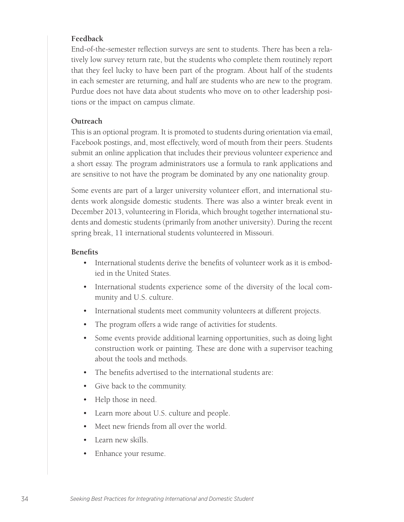# **Feedback**

End-of-the-semester reflection surveys are sent to students. There has been a relatively low survey return rate, but the students who complete them routinely report that they feel lucky to have been part of the program. About half of the students in each semester are returning, and half are students who are new to the program. Purdue does not have data about students who move on to other leadership positions or the impact on campus climate.

### **Outreach**

This is an optional program. It is promoted to students during orientation via email, Facebook postings, and, most effectively, word of mouth from their peers. Students submit an online application that includes their previous volunteer experience and a short essay. The program administrators use a formula to rank applications and are sensitive to not have the program be dominated by any one nationality group.

Some events are part of a larger university volunteer effort, and international students work alongside domestic students. There was also a winter break event in December 2013, volunteering in Florida, which brought together international students and domestic students (primarily from another university). During the recent spring break, 11 international students volunteered in Missouri.

### **Benefits**

- International students derive the benefits of volunteer work as it is embodied in the United States.
- International students experience some of the diversity of the local community and U.S. culture.
- International students meet community volunteers at different projects.
- The program offers a wide range of activities for students.
- Some events provide additional learning opportunities, such as doing light construction work or painting. These are done with a supervisor teaching about the tools and methods.
- The benefits advertised to the international students are:
- Give back to the community.
- Help those in need.
- Learn more about U.S. culture and people.
- Meet new friends from all over the world.
- Learn new skills.
- Enhance your resume.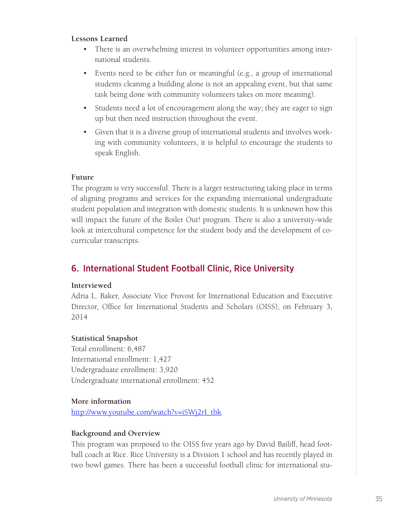### **Lessons Learned**

- There is an overwhelming interest in volunteer opportunities among international students.
- Events need to be either fun or meaningful (e.g., a group of international students cleaning a building alone is not an appealing event, but that same task being done with community volunteers takes on more meaning).
- Students need a lot of encouragement along the way; they are eager to sign up but then need instruction throughout the event.
- Given that it is a diverse group of international students and involves working with community volunteers, it is helpful to encourage the students to speak English.

# **Future**

The program is very successful. There is a larger restructuring taking place in terms of aligning programs and services for the expanding international undergraduate student population and integration with domestic students. It is unknown how this will impact the future of the Boiler Out! program. There is also a university-wide look at intercultural competence for the student body and the development of cocurricular transcripts.

# 6. International Student Football Clinic, Rice University

# **Interviewed**

Adria L. Baker, Associate Vice Provost for International Education and Executive Director, Office for International Students and Scholars (OISS), on February 3, 2014

# **Statistical Snapshot**

Total enrollment: 6,487 International enrollment: 1,427 Undergraduate enrollment: 3,920 Undergraduate international enrollment: 452

# **More information**

http://www.youtube.com/watch?v=iSWj2rI\_tbk

# **Background and Overview**

This program was proposed to the OISS five years ago by David Bailiff, head football coach at Rice. Rice University is a Division 1 school and has recently played in two bowl games. There has been a successful football clinic for international stu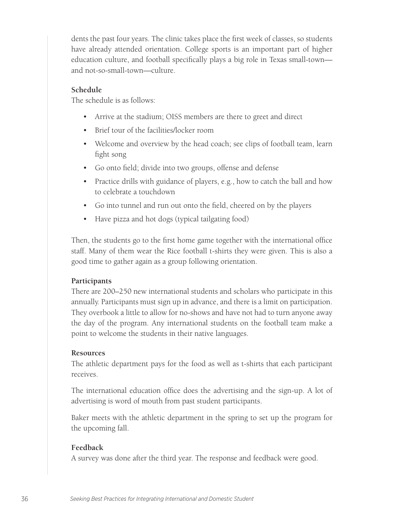dents the past four years. The clinic takes place the first week of classes, so students have already attended orientation. College sports is an important part of higher education culture, and football specifically plays a big role in Texas small-town and not-so-small-town—culture.

#### **Schedule**

The schedule is as follows:

- Arrive at the stadium; OISS members are there to greet and direct
- Brief tour of the facilities/locker room
- Welcome and overview by the head coach; see clips of football team, learn fight song
- Go onto field; divide into two groups, offense and defense
- Practice drills with guidance of players, e.g., how to catch the ball and how to celebrate a touchdown
- Go into tunnel and run out onto the field, cheered on by the players
- Have pizza and hot dogs (typical tailgating food)

Then, the students go to the first home game together with the international office staff. Many of them wear the Rice football t-shirts they were given. This is also a good time to gather again as a group following orientation.

#### **Participants**

There are 200–250 new international students and scholars who participate in this annually. Participants must sign up in advance, and there is a limit on participation. They overbook a little to allow for no-shows and have not had to turn anyone away the day of the program. Any international students on the football team make a point to welcome the students in their native languages.

#### **Resources**

The athletic department pays for the food as well as t-shirts that each participant receives.

The international education office does the advertising and the sign-up. A lot of advertising is word of mouth from past student participants.

Baker meets with the athletic department in the spring to set up the program for the upcoming fall.

#### **Feedback**

A survey was done after the third year. The response and feedback were good.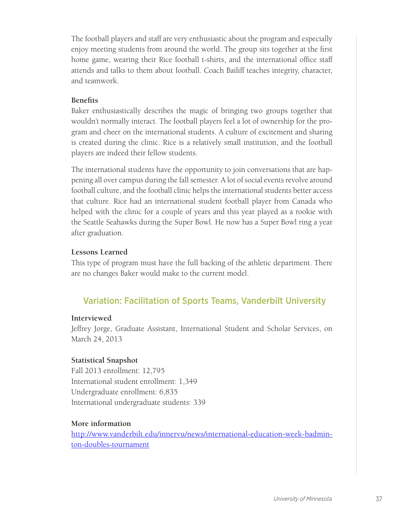The football players and staff are very enthusiastic about the program and especially enjoy meeting students from around the world. The group sits together at the first home game, wearing their Rice football t-shirts, and the international office staff attends and talks to them about football. Coach Bailiff teaches integrity, character, and teamwork.

### **Benefits**

Baker enthusiastically describes the magic of bringing two groups together that wouldn't normally interact. The football players feel a lot of ownership for the program and cheer on the international students. A culture of excitement and sharing is created during the clinic. Rice is a relatively small institution, and the football players are indeed their fellow students.

The international students have the opportunity to join conversations that are happening all over campus during the fall semester. A lot of social events revolve around football culture, and the football clinic helps the international students better access that culture. Rice had an international student football player from Canada who helped with the clinic for a couple of years and this year played as a rookie with the Seattle Seahawks during the Super Bowl. He now has a Super Bowl ring a year after graduation.

### **Lessons Learned**

This type of program must have the full backing of the athletic department. There are no changes Baker would make to the current model.

# Variation: Facilitation of Sports Teams, Vanderbilt University

### **Interviewed**

Jeffrey Jorge, Graduate Assistant, International Student and Scholar Services, on March 24, 2013

# **Statistical Snapshot**

Fall 2013 enrollment: 12,795 International student enrollment: 1,349 Undergraduate enrollment: 6,835 International undergraduate students: 339

# **More information**

http://www.vanderbilt.edu/innervu/news/international-education-week-badminton-doubles-tournament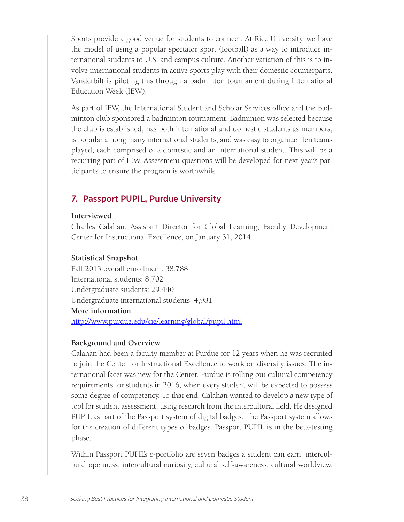Sports provide a good venue for students to connect. At Rice University, we have the model of using a popular spectator sport (football) as a way to introduce international students to U.S. and campus culture. Another variation of this is to involve international students in active sports play with their domestic counterparts. Vanderbilt is piloting this through a badminton tournament during International Education Week (IEW).

As part of IEW, the International Student and Scholar Services office and the badminton club sponsored a badminton tournament. Badminton was selected because the club is established, has both international and domestic students as members, is popular among many international students, and was easy to organize. Ten teams played, each comprised of a domestic and an international student. This will be a recurring part of IEW. Assessment questions will be developed for next year's participants to ensure the program is worthwhile.

# 7. Passport PUPIL, Purdue University

#### **Interviewed**

Charles Calahan, Assistant Director for Global Learning, Faculty Development Center for Instructional Excellence, on January 31, 2014

#### **Statistical Snapshot**

Fall 2013 overall enrollment: 38,788 International students: 8,702 Undergraduate students: 29,440 Undergraduate international students: 4,981 **More information**  http://www.purdue.edu/cie/learning/global/pupil.html

#### **Background and Overview**

Calahan had been a faculty member at Purdue for 12 years when he was recruited to join the Center for Instructional Excellence to work on diversity issues. The international facet was new for the Center. Purdue is rolling out cultural competency requirements for students in 2016, when every student will be expected to possess some degree of competency. To that end, Calahan wanted to develop a new type of tool for student assessment, using research from the intercultural field. He designed PUPIL as part of the Passport system of digital badges. The Passport system allows for the creation of different types of badges. Passport PUPIL is in the beta-testing phase.

Within Passport PUPIL's e-portfolio are seven badges a student can earn: intercultural openness, intercultural curiosity, cultural self-awareness, cultural worldview,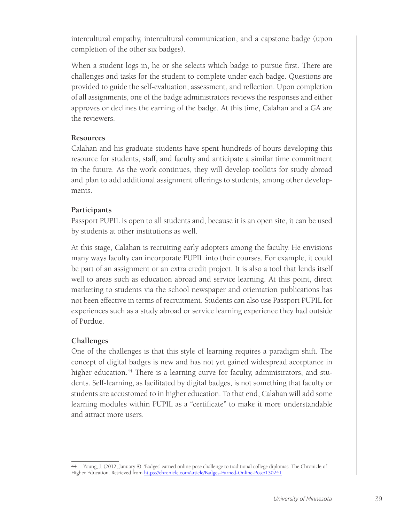intercultural empathy, intercultural communication, and a capstone badge (upon completion of the other six badges).

When a student logs in, he or she selects which badge to pursue first. There are challenges and tasks for the student to complete under each badge. Questions are provided to guide the self-evaluation, assessment, and reflection. Upon completion of all assignments, one of the badge administrators reviews the responses and either approves or declines the earning of the badge. At this time, Calahan and a GA are the reviewers.

### **Resources**

Calahan and his graduate students have spent hundreds of hours developing this resource for students, staff, and faculty and anticipate a similar time commitment in the future. As the work continues, they will develop toolkits for study abroad and plan to add additional assignment offerings to students, among other developments.

# **Participants**

Passport PUPIL is open to all students and, because it is an open site, it can be used by students at other institutions as well.

At this stage, Calahan is recruiting early adopters among the faculty. He envisions many ways faculty can incorporate PUPIL into their courses. For example, it could be part of an assignment or an extra credit project. It is also a tool that lends itself well to areas such as education abroad and service learning. At this point, direct marketing to students via the school newspaper and orientation publications has not been effective in terms of recruitment. Students can also use Passport PUPIL for experiences such as a study abroad or service learning experience they had outside of Purdue.

# **Challenges**

One of the challenges is that this style of learning requires a paradigm shift. The concept of digital badges is new and has not yet gained widespread acceptance in higher education.<sup>44</sup> There is a learning curve for faculty, administrators, and students. Self-learning, as facilitated by digital badges, is not something that faculty or students are accustomed to in higher education. To that end, Calahan will add some learning modules within PUPIL as a "certificate" to make it more understandable and attract more users.

<sup>44</sup> Young, J. (2012, January 8). 'Badges' earned online pose challenge to traditional college diplomas. The Chronicle of Higher Education. Retrieved from https://chronicle.com/article/Badges-Earned-Online-Pose/130241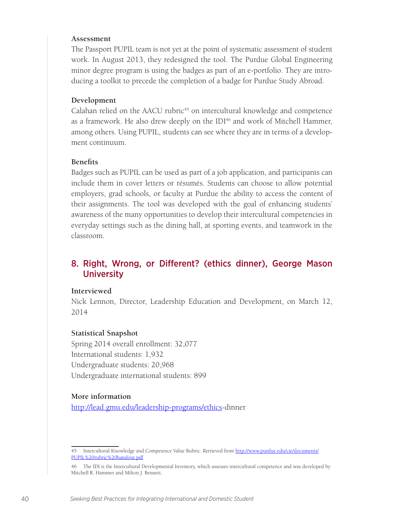#### **Assessment**

The Passport PUPIL team is not yet at the point of systematic assessment of student work. In August 2013, they redesigned the tool. The Purdue Global Engineering minor degree program is using the badges as part of an e-portfolio. They are introducing a toolkit to precede the completion of a badge for Purdue Study Abroad.

#### **Development**

Calahan relied on the AACU rubric $45$  on intercultural knowledge and competence as a framework. He also drew deeply on the IDI<sup>46</sup> and work of Mitchell Hammer, among others. Using PUPIL, students can see where they are in terms of a development continuum.

#### **Benefits**

Badges such as PUPIL can be used as part of a job application, and participants can include them in cover letters or résumés. Students can choose to allow potential employers, grad schools, or faculty at Purdue the ability to access the content of their assignments. The tool was developed with the goal of enhancing students' awareness of the many opportunities to develop their intercultural competencies in everyday settings such as the dining hall, at sporting events, and teamwork in the classroom.

# 8. Right, Wrong, or Different? (ethics dinner), George Mason **University**

#### **Interviewed**

Nick Lennon, Director, Leadership Education and Development, on March 12, 2014

#### **Statistical Snapshot**

Spring 2014 overall enrollment: 32,077 International students: 1,932 Undergraduate students: 20,968 Undergraduate international students: 899

#### **More information**

http://lead.gmu.edu/leadership-programs/ethics-dinner

<sup>45</sup> Intercultural Knowledge and Competence Value Rubric. Retrieved from http://www.purdue.edu/cie/documents/ PUPIL%20rubric%20handout.pdf

<sup>46</sup> The IDI is the Intercultural Developmental Inventory, which assesses intercultural competence and was developed by Mitchell R. Hammer and Milton J. Bennett.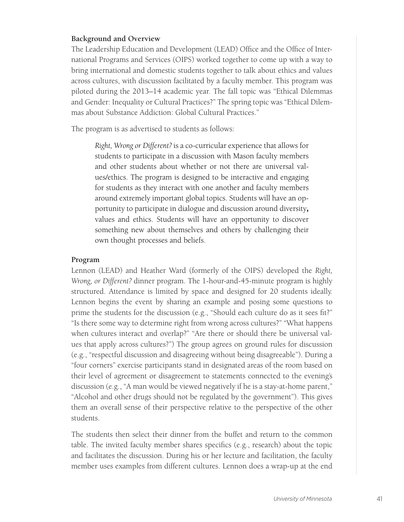### **Background and Overview**

The Leadership Education and Development (LEAD) Office and the Office of International Programs and Services (OIPS) worked together to come up with a way to bring international and domestic students together to talk about ethics and values across cultures, with discussion facilitated by a faculty member. This program was piloted during the 2013–14 academic year. The fall topic was "Ethical Dilemmas and Gender: Inequality or Cultural Practices?" The spring topic was "Ethical Dilemmas about Substance Addiction: Global Cultural Practices."

The program is as advertised to students as follows:

*Right, Wrong or Different?* is a co-curricular experience that allows for students to participate in a discussion with Mason faculty members and other students about whether or not there are universal values/ethics. The program is designed to be interactive and engaging for students as they interact with one another and faculty members around extremely important global topics. Students will have an opportunity to participate in dialogue and discussion around diversity, values and ethics. Students will have an opportunity to discover something new about themselves and others by challenging their own thought processes and beliefs.

#### **Program**

Lennon (LEAD) and Heather Ward (formerly of the OIPS) developed the *Right, Wrong, or Different?* dinner program. The 1-hour-and-45-minute program is highly structured. Attendance is limited by space and designed for 20 students ideally. Lennon begins the event by sharing an example and posing some questions to prime the students for the discussion (e.g., "Should each culture do as it sees fit?" "Is there some way to determine right from wrong across cultures?" "What happens when cultures interact and overlap?" "Are there or should there be universal values that apply across cultures?") The group agrees on ground rules for discussion (e.g., "respectful discussion and disagreeing without being disagreeable"). During a "four corners" exercise participants stand in designated areas of the room based on their level of agreement or disagreement to statements connected to the evening's discussion (e.g., "A man would be viewed negatively if he is a stay-at-home parent," "Alcohol and other drugs should not be regulated by the government"). This gives them an overall sense of their perspective relative to the perspective of the other students.

The students then select their dinner from the buffet and return to the common table. The invited faculty member shares specifics (e.g., research) about the topic and facilitates the discussion. During his or her lecture and facilitation, the faculty member uses examples from different cultures. Lennon does a wrap-up at the end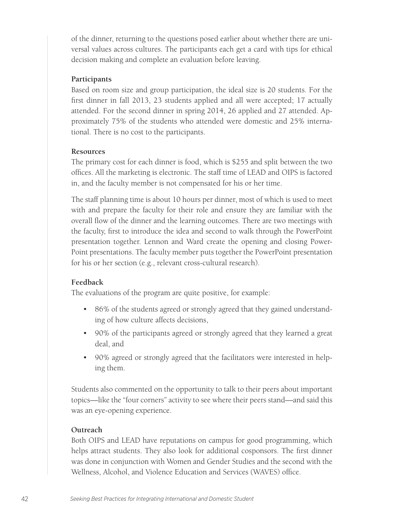of the dinner, returning to the questions posed earlier about whether there are universal values across cultures. The participants each get a card with tips for ethical decision making and complete an evaluation before leaving.

### **Participants**

Based on room size and group participation, the ideal size is 20 students. For the first dinner in fall 2013, 23 students applied and all were accepted; 17 actually attended. For the second dinner in spring 2014, 26 applied and 27 attended. Approximately 75% of the students who attended were domestic and 25% international. There is no cost to the participants.

### **Resources**

The primary cost for each dinner is food, which is \$255 and split between the two offices. All the marketing is electronic. The staff time of LEAD and OIPS is factored in, and the faculty member is not compensated for his or her time.

The staff planning time is about 10 hours per dinner, most of which is used to meet with and prepare the faculty for their role and ensure they are familiar with the overall flow of the dinner and the learning outcomes. There are two meetings with the faculty, first to introduce the idea and second to walk through the PowerPoint presentation together. Lennon and Ward create the opening and closing Power-Point presentations. The faculty member puts together the PowerPoint presentation for his or her section (e.g., relevant cross-cultural research).

# **Feedback**

The evaluations of the program are quite positive, for example:

- 86% of the students agreed or strongly agreed that they gained understanding of how culture affects decisions,
- 90% of the participants agreed or strongly agreed that they learned a great deal, and
- 90% agreed or strongly agreed that the facilitators were interested in helping them.

Students also commented on the opportunity to talk to their peers about important topics—like the "four corners" activity to see where their peers stand—and said this was an eye-opening experience.

# **Outreach**

Both OIPS and LEAD have reputations on campus for good programming, which helps attract students. They also look for additional cosponsors. The first dinner was done in conjunction with Women and Gender Studies and the second with the Wellness, Alcohol, and Violence Education and Services (WAVES) office.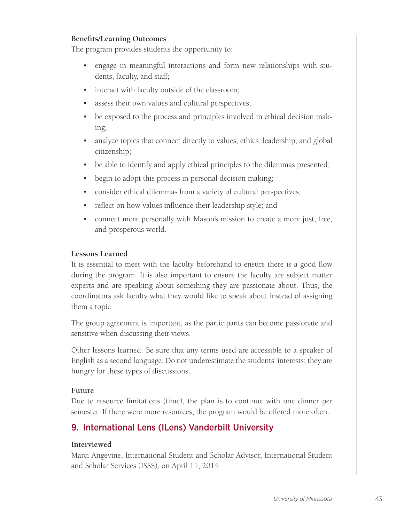# **Benefits/Learning Outcomes**

The program provides students the opportunity to:

- engage in meaningful interactions and form new relationships with students, faculty, and staff;
- interact with faculty outside of the classroom;
- assess their own values and cultural perspectives;
- be exposed to the process and principles involved in ethical decision making;
- analyze topics that connect directly to values, ethics, leadership, and global citizenship;
- be able to identify and apply ethical principles to the dilemmas presented;
- begin to adopt this process in personal decision making;
- consider ethical dilemmas from a variety of cultural perspectives;
- reflect on how values influence their leadership style; and
- connect more personally with Mason's mission to create a more just, free, and prosperous world.

# **Lessons Learned**

It is essential to meet with the faculty beforehand to ensure there is a good flow during the program. It is also important to ensure the faculty are subject matter experts and are speaking about something they are passionate about. Thus, the coordinators ask faculty what they would like to speak about instead of assigning them a topic.

The group agreement is important, as the participants can become passionate and sensitive when discussing their views.

Other lessons learned: Be sure that any terms used are accessible to a speaker of English as a second language. Do not underestimate the students' interests; they are hungry for these types of discussions.

# **Future**

Due to resource limitations (time), the plan is to continue with one dinner per semester. If there were more resources, the program would be offered more often.

# 9. International Lens (ILens) Vanderbilt University

# **Interviewed**

Marci Angevine, International Student and Scholar Advisor, International Student and Scholar Services (ISSS), on April 11, 2014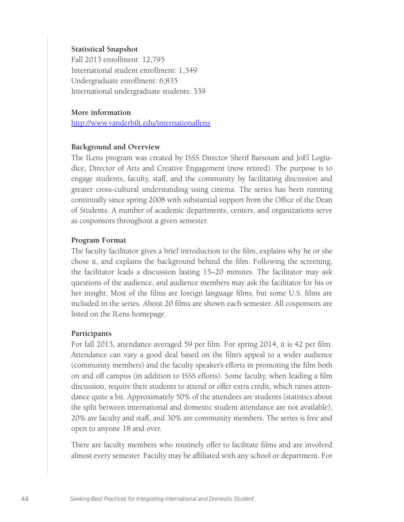#### **Statistical Snapshot**

Fall 2013 enrollment: 12,795 International student enrollment: 1,349 Undergraduate enrollment: 6,835 International undergraduate students: 339

#### **More information**

http://www.vanderbilt.edu/internationallens

#### **Background and Overview**

The ILens program was created by ISSS Director Sherif Barsoum and JoEl Logiudice, Director of Arts and Creative Engagement (now retired). The purpose is to engage students, faculty, staff, and the community by facilitating discussion and greater cross-cultural understanding using cinema. The series has been running continually since spring 2008 with substantial support from the Office of the Dean of Students. A number of academic departments, centers, and organizations serve as cosponsors throughout a given semester.

#### **Program Format**

The faculty facilitator gives a brief introduction to the film, explains why he or she chose it, and explains the background behind the film. Following the screening, the facilitator leads a discussion lasting 15–20 minutes. The facilitator may ask questions of the audience, and audience members may ask the facilitator for his or her insight. Most of the films are foreign language films, but some U.S. films are included in the series. About 20 films are shown each semester. All cosponsors are listed on the ILens homepage.

#### **Participants**

For fall 2013, attendance averaged 59 per film. For spring 2014, it is 42 per film. Attendance can vary a good deal based on the film's appeal to a wider audience (community members) and the faculty speaker's efforts in promoting the film both on and off campus (in addition to ISSS efforts). Some faculty, when leading a film discussion, require their students to attend or offer extra credit, which raises attendance quite a bit. Approximately 50% of the attendees are students (statistics about the split between international and domestic student attendance are not available), 20% are faculty and staff, and 30% are community members. The series is free and open to anyone 18 and over.

There are faculty members who routinely offer to facilitate films and are involved almost every semester. Faculty may be affiliated with any school or department. For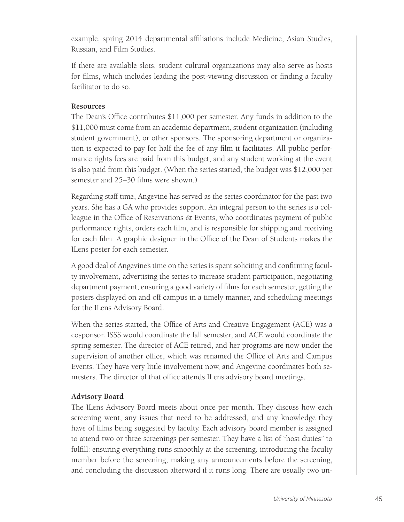example, spring 2014 departmental affiliations include Medicine, Asian Studies, Russian, and Film Studies.

If there are available slots, student cultural organizations may also serve as hosts for films, which includes leading the post-viewing discussion or finding a faculty facilitator to do so.

# **Resources**

The Dean's Office contributes \$11,000 per semester. Any funds in addition to the \$11,000 must come from an academic department, student organization (including student government), or other sponsors. The sponsoring department or organization is expected to pay for half the fee of any film it facilitates. All public performance rights fees are paid from this budget, and any student working at the event is also paid from this budget. (When the series started, the budget was \$12,000 per semester and 25–30 films were shown.)

Regarding staff time, Angevine has served as the series coordinator for the past two years. She has a GA who provides support. An integral person to the series is a colleague in the Office of Reservations & Events, who coordinates payment of public performance rights, orders each film, and is responsible for shipping and receiving for each film. A graphic designer in the Office of the Dean of Students makes the ILens poster for each semester.

A good deal of Angevine's time on the series is spent soliciting and confirming faculty involvement, advertising the series to increase student participation, negotiating department payment, ensuring a good variety of films for each semester, getting the posters displayed on and off campus in a timely manner, and scheduling meetings for the ILens Advisory Board.

When the series started, the Office of Arts and Creative Engagement (ACE) was a cosponsor. ISSS would coordinate the fall semester, and ACE would coordinate the spring semester. The director of ACE retired, and her programs are now under the supervision of another office, which was renamed the Office of Arts and Campus Events. They have very little involvement now, and Angevine coordinates both semesters. The director of that office attends ILens advisory board meetings.

# **Advisory Board**

The ILens Advisory Board meets about once per month. They discuss how each screening went, any issues that need to be addressed, and any knowledge they have of films being suggested by faculty. Each advisory board member is assigned to attend two or three screenings per semester. They have a list of "host duties" to fulfill: ensuring everything runs smoothly at the screening, introducing the faculty member before the screening, making any announcements before the screening, and concluding the discussion afterward if it runs long. There are usually two un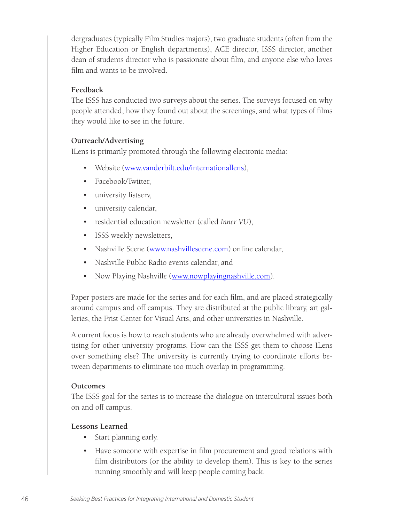dergraduates (typically Film Studies majors), two graduate students (often from the Higher Education or English departments), ACE director, ISSS director, another dean of students director who is passionate about film, and anyone else who loves film and wants to be involved.

### **Feedback**

The ISSS has conducted two surveys about the series. The surveys focused on why people attended, how they found out about the screenings, and what types of films they would like to see in the future.

### **Outreach/Advertising**

ILens is primarily promoted through the following electronic media:

- Website (www.vanderbilt.edu/internationallens),
- Facebook/Twitter,
- university listserv,
- university calendar,
- residential education newsletter (called *Inner VU*),
- ISSS weekly newsletters,
- Nashville Scene (www.nashvillescene.com) online calendar,
- Nashville Public Radio events calendar, and
- Now Playing Nashville (www.nowplayingnashville.com).

Paper posters are made for the series and for each film, and are placed strategically around campus and off campus. They are distributed at the public library, art galleries, the Frist Center for Visual Arts, and other universities in Nashville.

A current focus is how to reach students who are already overwhelmed with advertising for other university programs. How can the ISSS get them to choose ILens over something else? The university is currently trying to coordinate efforts between departments to eliminate too much overlap in programming.

### **Outcomes**

The ISSS goal for the series is to increase the dialogue on intercultural issues both on and off campus.

### **Lessons Learned**

- Start planning early.
- Have someone with expertise in film procurement and good relations with film distributors (or the ability to develop them). This is key to the series running smoothly and will keep people coming back.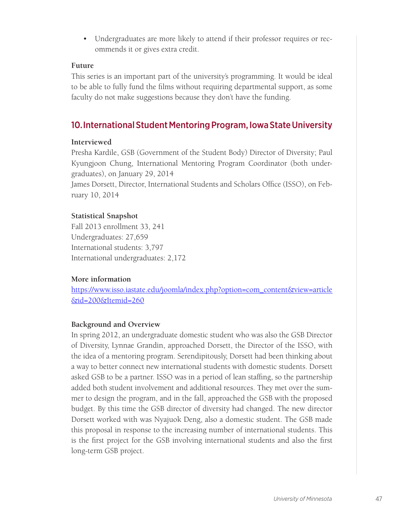• Undergraduates are more likely to attend if their professor requires or recommends it or gives extra credit.

### **Future**

This series is an important part of the university's programming. It would be ideal to be able to fully fund the films without requiring departmental support, as some faculty do not make suggestions because they don't have the funding.

# 10.International Student Mentoring Program, Iowa State University

# **Interviewed**

Presha Kardile, GSB (Government of the Student Body) Director of Diversity; Paul Kyungjoon Chung, International Mentoring Program Coordinator (both undergraduates), on January 29, 2014

James Dorsett, Director, International Students and Scholars Office (ISSO), on February 10, 2014

# **Statistical Snapshot**

Fall 2013 enrollment 33, 241 Undergraduates: 27,659 International students: 3,797 International undergraduates: 2,172

# **More information**

https://www.isso.iastate.edu/joomla/index.php?option=com\_content&view=article &id=200&Itemid=260

# **Background and Overview**

In spring 2012, an undergraduate domestic student who was also the GSB Director of Diversity, Lynnae Grandin, approached Dorsett, the Director of the ISSO, with the idea of a mentoring program. Serendipitously, Dorsett had been thinking about a way to better connect new international students with domestic students. Dorsett asked GSB to be a partner. ISSO was in a period of lean staffing, so the partnership added both student involvement and additional resources. They met over the summer to design the program, and in the fall, approached the GSB with the proposed budget. By this time the GSB director of diversity had changed. The new director Dorsett worked with was Nyajuok Deng, also a domestic student. The GSB made this proposal in response to the increasing number of international students. This is the first project for the GSB involving international students and also the first long-term GSB project.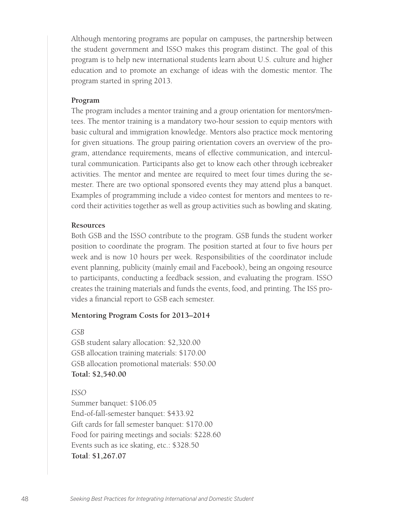Although mentoring programs are popular on campuses, the partnership between the student government and ISSO makes this program distinct. The goal of this program is to help new international students learn about U.S. culture and higher education and to promote an exchange of ideas with the domestic mentor. The program started in spring 2013.

#### **Program**

The program includes a mentor training and a group orientation for mentors/mentees. The mentor training is a mandatory two-hour session to equip mentors with basic cultural and immigration knowledge. Mentors also practice mock mentoring for given situations. The group pairing orientation covers an overview of the program, attendance requirements, means of effective communication, and intercultural communication. Participants also get to know each other through icebreaker activities. The mentor and mentee are required to meet four times during the semester. There are two optional sponsored events they may attend plus a banquet. Examples of programming include a video contest for mentors and mentees to record their activities together as well as group activities such as bowling and skating.

#### **Resources**

Both GSB and the ISSO contribute to the program. GSB funds the student worker position to coordinate the program. The position started at four to five hours per week and is now 10 hours per week. Responsibilities of the coordinator include event planning, publicity (mainly email and Facebook), being an ongoing resource to participants, conducting a feedback session, and evaluating the program. ISSO creates the training materials and funds the events, food, and printing. The ISS provides a financial report to GSB each semester.

#### **Mentoring Program Costs for 2013–2014**

*GSB*

GSB student salary allocation: \$2,320.00 GSB allocation training materials: \$170.00 GSB allocation promotional materials: \$50.00 **Total: \$2,540.00**

*ISSO*

Summer banquet: \$106.05 End-of-fall-semester banquet: \$433.92 Gift cards for fall semester banquet: \$170.00 Food for pairing meetings and socials: \$228.60 Events such as ice skating, etc.: \$328.50 **Total**: **\$1,267.07**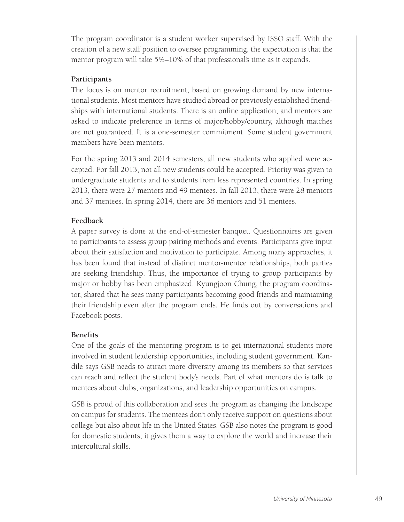The program coordinator is a student worker supervised by ISSO staff. With the creation of a new staff position to oversee programming, the expectation is that the mentor program will take 5%–10% of that professional's time as it expands.

### **Participants**

The focus is on mentor recruitment, based on growing demand by new international students. Most mentors have studied abroad or previously established friendships with international students. There is an online application, and mentors are asked to indicate preference in terms of major/hobby/country, although matches are not guaranteed. It is a one-semester commitment. Some student government members have been mentors.

For the spring 2013 and 2014 semesters, all new students who applied were accepted. For fall 2013, not all new students could be accepted. Priority was given to undergraduate students and to students from less represented countries. In spring 2013, there were 27 mentors and 49 mentees. In fall 2013, there were 28 mentors and 37 mentees. In spring 2014, there are 36 mentors and 51 mentees.

# **Feedback**

A paper survey is done at the end-of-semester banquet. Questionnaires are given to participants to assess group pairing methods and events. Participants give input about their satisfaction and motivation to participate. Among many approaches, it has been found that instead of distinct mentor-mentee relationships, both parties are seeking friendship. Thus, the importance of trying to group participants by major or hobby has been emphasized. Kyungjoon Chung, the program coordinator, shared that he sees many participants becoming good friends and maintaining their friendship even after the program ends. He finds out by conversations and Facebook posts.

# **Benefits**

One of the goals of the mentoring program is to get international students more involved in student leadership opportunities, including student government. Kandile says GSB needs to attract more diversity among its members so that services can reach and reflect the student body's needs. Part of what mentors do is talk to mentees about clubs, organizations, and leadership opportunities on campus.

GSB is proud of this collaboration and sees the program as changing the landscape on campus for students. The mentees don't only receive support on questions about college but also about life in the United States. GSB also notes the program is good for domestic students; it gives them a way to explore the world and increase their intercultural skills.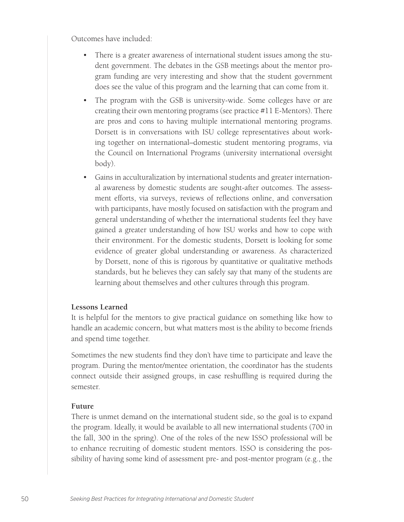Outcomes have included:

- There is a greater awareness of international student issues among the student government. The debates in the GSB meetings about the mentor program funding are very interesting and show that the student government does see the value of this program and the learning that can come from it.
- The program with the GSB is university-wide. Some colleges have or are creating their own mentoring programs (see practice #11 E-Mentors). There are pros and cons to having multiple international mentoring programs. Dorsett is in conversations with ISU college representatives about working together on international–domestic student mentoring programs, via the Council on International Programs (university international oversight body).
- Gains in acculturalization by international students and greater international awareness by domestic students are sought-after outcomes. The assessment efforts, via surveys, reviews of reflections online, and conversation with participants, have mostly focused on satisfaction with the program and general understanding of whether the international students feel they have gained a greater understanding of how ISU works and how to cope with their environment. For the domestic students, Dorsett is looking for some evidence of greater global understanding or awareness. As characterized by Dorsett, none of this is rigorous by quantitative or qualitative methods standards, but he believes they can safely say that many of the students are learning about themselves and other cultures through this program.

#### **Lessons Learned**

It is helpful for the mentors to give practical guidance on something like how to handle an academic concern, but what matters most is the ability to become friends and spend time together.

Sometimes the new students find they don't have time to participate and leave the program. During the mentor/mentee orientation, the coordinator has the students connect outside their assigned groups, in case reshuffling is required during the semester.

#### **Future**

There is unmet demand on the international student side, so the goal is to expand the program. Ideally, it would be available to all new international students (700 in the fall, 300 in the spring). One of the roles of the new ISSO professional will be to enhance recruiting of domestic student mentors. ISSO is considering the possibility of having some kind of assessment pre- and post-mentor program (e.g., the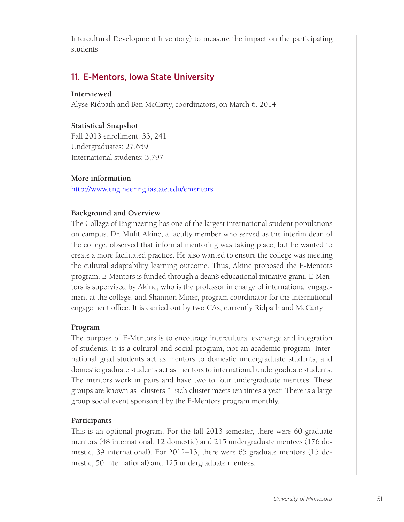Intercultural Development Inventory) to measure the impact on the participating students.

# 11. E-Mentors, Iowa State University

# **Interviewed**

Alyse Ridpath and Ben McCarty, coordinators, on March 6, 2014

# **Statistical Snapshot**

Fall 2013 enrollment: 33, 241 Undergraduates: 27,659 International students: 3,797

# **More information**

http://www.engineering.iastate.edu/ementors

# **Background and Overview**

The College of Engineering has one of the largest international student populations on campus. Dr. Mufit Akinc, a faculty member who served as the interim dean of the college, observed that informal mentoring was taking place, but he wanted to create a more facilitated practice. He also wanted to ensure the college was meeting the cultural adaptability learning outcome. Thus, Akinc proposed the E-Mentors program. E-Mentors is funded through a dean's educational initiative grant. E-Mentors is supervised by Akinc, who is the professor in charge of international engagement at the college, and Shannon Miner, program coordinator for the international engagement office. It is carried out by two GAs, currently Ridpath and McCarty.

# **Program**

The purpose of E-Mentors is to encourage intercultural exchange and integration of students. It is a cultural and social program, not an academic program. International grad students act as mentors to domestic undergraduate students, and domestic graduate students act as mentors to international undergraduate students. The mentors work in pairs and have two to four undergraduate mentees. These groups are known as "clusters." Each cluster meets ten times a year. There is a large group social event sponsored by the E-Mentors program monthly.

# **Participants**

This is an optional program. For the fall 2013 semester, there were 60 graduate mentors (48 international, 12 domestic) and 215 undergraduate mentees (176 domestic, 39 international). For 2012–13, there were 65 graduate mentors (15 domestic, 50 international) and 125 undergraduate mentees.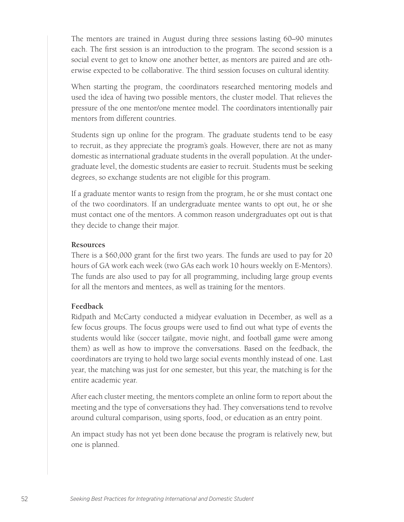The mentors are trained in August during three sessions lasting 60–90 minutes each. The first session is an introduction to the program. The second session is a social event to get to know one another better, as mentors are paired and are otherwise expected to be collaborative. The third session focuses on cultural identity.

When starting the program, the coordinators researched mentoring models and used the idea of having two possible mentors, the cluster model. That relieves the pressure of the one mentor/one mentee model. The coordinators intentionally pair mentors from different countries.

Students sign up online for the program. The graduate students tend to be easy to recruit, as they appreciate the program's goals. However, there are not as many domestic as international graduate students in the overall population. At the undergraduate level, the domestic students are easier to recruit. Students must be seeking degrees, so exchange students are not eligible for this program.

If a graduate mentor wants to resign from the program, he or she must contact one of the two coordinators. If an undergraduate mentee wants to opt out, he or she must contact one of the mentors. A common reason undergraduates opt out is that they decide to change their major.

#### **Resources**

There is a \$60,000 grant for the first two years. The funds are used to pay for 20 hours of GA work each week (two GAs each work 10 hours weekly on E-Mentors). The funds are also used to pay for all programming, including large group events for all the mentors and mentees, as well as training for the mentors.

#### **Feedback**

Ridpath and McCarty conducted a midyear evaluation in December, as well as a few focus groups. The focus groups were used to find out what type of events the students would like (soccer tailgate, movie night, and football game were among them) as well as how to improve the conversations. Based on the feedback, the coordinators are trying to hold two large social events monthly instead of one. Last year, the matching was just for one semester, but this year, the matching is for the entire academic year.

After each cluster meeting, the mentors complete an online form to report about the meeting and the type of conversations they had. They conversations tend to revolve around cultural comparison, using sports, food, or education as an entry point.

An impact study has not yet been done because the program is relatively new, but one is planned.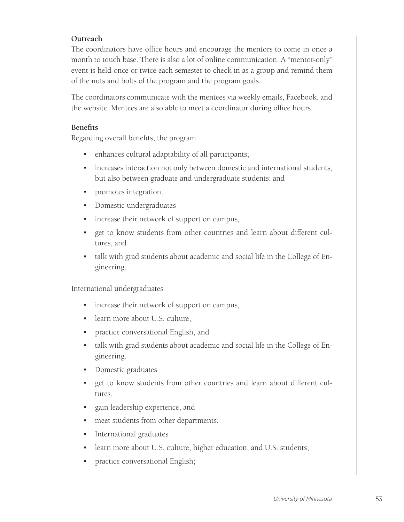# **Outreach**

The coordinators have office hours and encourage the mentors to come in once a month to touch base. There is also a lot of online communication. A "mentor-only" event is held once or twice each semester to check in as a group and remind them of the nuts and bolts of the program and the program goals.

The coordinators communicate with the mentees via weekly emails, Facebook, and the website. Mentees are also able to meet a coordinator during office hours.

### **Benefits**

Regarding overall benefits, the program

- enhances cultural adaptability of all participants;
- increases interaction not only between domestic and international students, but also between graduate and undergraduate students; and
- promotes integration.
- Domestic undergraduates
- increase their network of support on campus,
- get to know students from other countries and learn about different cultures, and
- talk with grad students about academic and social life in the College of Engineering.

International undergraduates

- increase their network of support on campus,
- learn more about U.S. culture,
- practice conversational English, and
- talk with grad students about academic and social life in the College of Engineering.
- Domestic graduates
- get to know students from other countries and learn about different cultures,
- gain leadership experience, and
- meet students from other departments.
- International graduates
- learn more about U.S. culture, higher education, and U.S. students;
- practice conversational English;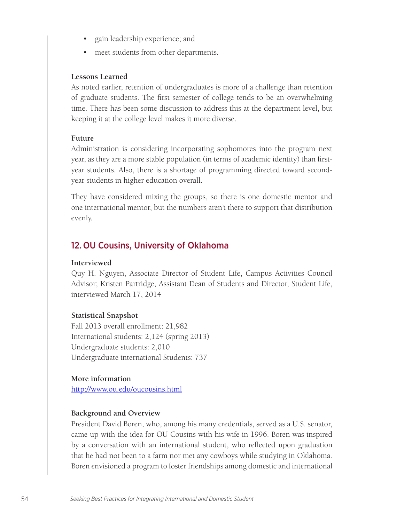- gain leadership experience; and
- meet students from other departments.

#### **Lessons Learned**

As noted earlier, retention of undergraduates is more of a challenge than retention of graduate students. The first semester of college tends to be an overwhelming time. There has been some discussion to address this at the department level, but keeping it at the college level makes it more diverse.

#### **Future**

Administration is considering incorporating sophomores into the program next year, as they are a more stable population (in terms of academic identity) than firstyear students. Also, there is a shortage of programming directed toward secondyear students in higher education overall.

They have considered mixing the groups, so there is one domestic mentor and one international mentor, but the numbers aren't there to support that distribution evenly.

# 12. OU Cousins, University of Oklahoma

#### **Interviewed**

Quy H. Nguyen, Associate Director of Student Life, Campus Activities Council Advisor; Kristen Partridge, Assistant Dean of Students and Director, Student Life, interviewed March 17, 2014

#### **Statistical Snapshot**

Fall 2013 overall enrollment: 21,982 International students: 2,124 (spring 2013) Undergraduate students: 2,010 Undergraduate international Students: 737

#### **More information**

http://www.ou.edu/oucousins.html

### **Background and Overview**

President David Boren, who, among his many credentials, served as a U.S. senator, came up with the idea for OU Cousins with his wife in 1996. Boren was inspired by a conversation with an international student, who reflected upon graduation that he had not been to a farm nor met any cowboys while studying in Oklahoma. Boren envisioned a program to foster friendships among domestic and international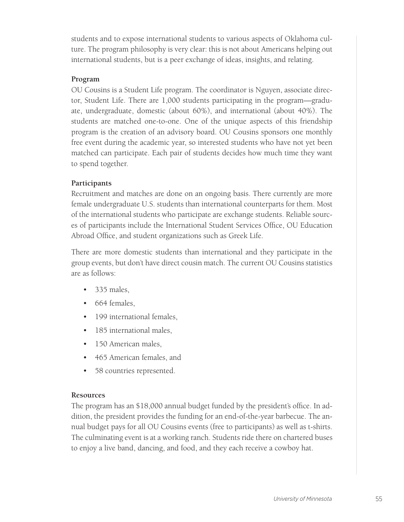students and to expose international students to various aspects of Oklahoma culture. The program philosophy is very clear: this is not about Americans helping out international students, but is a peer exchange of ideas, insights, and relating.

# **Program**

OU Cousins is a Student Life program. The coordinator is Nguyen, associate director, Student Life. There are 1,000 students participating in the program—graduate, undergraduate, domestic (about 60%), and international (about 40%). The students are matched one-to-one. One of the unique aspects of this friendship program is the creation of an advisory board. OU Cousins sponsors one monthly free event during the academic year, so interested students who have not yet been matched can participate. Each pair of students decides how much time they want to spend together.

# **Participants**

Recruitment and matches are done on an ongoing basis. There currently are more female undergraduate U.S. students than international counterparts for them. Most of the international students who participate are exchange students. Reliable sources of participants include the International Student Services Office, OU Education Abroad Office, and student organizations such as Greek Life.

There are more domestic students than international and they participate in the group events, but don't have direct cousin match. The current OU Cousins statistics are as follows:

- 335 males,
- 664 females,
- 199 international females,
- 185 international males,
- 150 American males,
- 465 American females, and
- 58 countries represented.

### **Resources**

The program has an \$18,000 annual budget funded by the president's office. In addition, the president provides the funding for an end-of-the-year barbecue. The annual budget pays for all OU Cousins events (free to participants) as well as t-shirts. The culminating event is at a working ranch. Students ride there on chartered buses to enjoy a live band, dancing, and food, and they each receive a cowboy hat.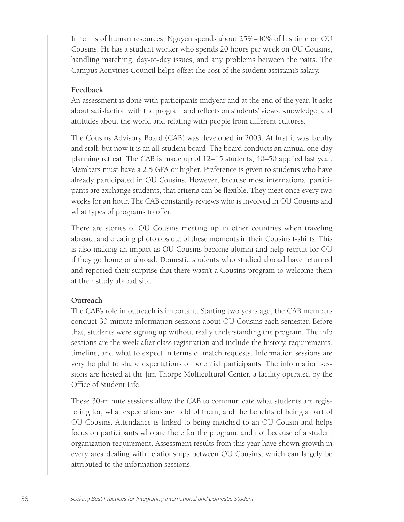In terms of human resources, Nguyen spends about 25%–40% of his time on OU Cousins. He has a student worker who spends 20 hours per week on OU Cousins, handling matching, day-to-day issues, and any problems between the pairs. The Campus Activities Council helps offset the cost of the student assistant's salary.

#### **Feedback**

An assessment is done with participants midyear and at the end of the year. It asks about satisfaction with the program and reflects on students' views, knowledge, and attitudes about the world and relating with people from different cultures.

The Cousins Advisory Board (CAB) was developed in 2003. At first it was faculty and staff, but now it is an all-student board. The board conducts an annual one-day planning retreat. The CAB is made up of 12–15 students; 40–50 applied last year. Members must have a 2.5 GPA or higher. Preference is given to students who have already participated in OU Cousins. However, because most international participants are exchange students, that criteria can be flexible. They meet once every two weeks for an hour. The CAB constantly reviews who is involved in OU Cousins and what types of programs to offer.

There are stories of OU Cousins meeting up in other countries when traveling abroad, and creating photo ops out of these moments in their Cousins t-shirts. This is also making an impact as OU Cousins become alumni and help recruit for OU if they go home or abroad. Domestic students who studied abroad have returned and reported their surprise that there wasn't a Cousins program to welcome them at their study abroad site.

### **Outreach**

The CAB's role in outreach is important. Starting two years ago, the CAB members conduct 30-minute information sessions about OU Cousins each semester. Before that, students were signing up without really understanding the program. The info sessions are the week after class registration and include the history, requirements, timeline, and what to expect in terms of match requests. Information sessions are very helpful to shape expectations of potential participants. The information sessions are hosted at the Jim Thorpe Multicultural Center, a facility operated by the Office of Student Life.

These 30-minute sessions allow the CAB to communicate what students are registering for, what expectations are held of them, and the benefits of being a part of OU Cousins. Attendance is linked to being matched to an OU Cousin and helps focus on participants who are there for the program, and not because of a student organization requirement. Assessment results from this year have shown growth in every area dealing with relationships between OU Cousins, which can largely be attributed to the information sessions.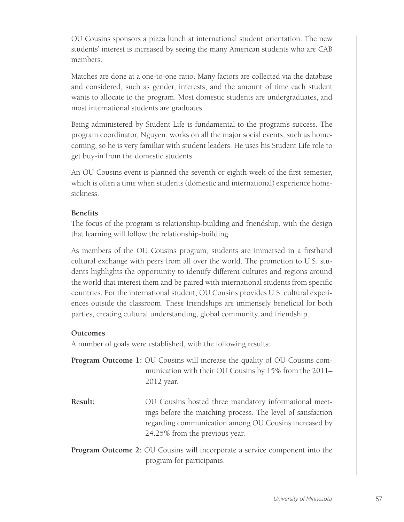OU Cousins sponsors a pizza lunch at international student orientation. The new students' interest is increased by seeing the many American students who are CAB members.

Matches are done at a one-to-one ratio. Many factors are collected via the database and considered, such as gender, interests, and the amount of time each student wants to allocate to the program. Most domestic students are undergraduates, and most international students are graduates.

Being administered by Student Life is fundamental to the program's success. The program coordinator, Nguyen, works on all the major social events, such as homecoming, so he is very familiar with student leaders. He uses his Student Life role to get buy-in from the domestic students.

An OU Cousins event is planned the seventh or eighth week of the first semester, which is often a time when students (domestic and international) experience homesickness.

# **Benefits**

The focus of the program is relationship-building and friendship, with the design that learning will follow the relationship-building.

As members of the OU Cousins program, students are immersed in a firsthand cultural exchange with peers from all over the world. The promotion to U.S. students highlights the opportunity to identify different cultures and regions around the world that interest them and be paired with international students from specific countries. For the international student, OU Cousins provides U.S. cultural experiences outside the classroom. These friendships are immensely beneficial for both parties, creating cultural understanding, global community, and friendship.

# **Outcomes**

A number of goals were established, with the following results:

- **Program Outcome 1:** OU Cousins will increase the quality of OU Cousins communication with their OU Cousins by 15% from the 2011– 2012 year.
- **Result:** OU Cousins hosted three mandatory informational meetings before the matching process. The level of satisfaction regarding communication among OU Cousins increased by 24.25% from the previous year.
- **Program Outcome 2:** OU Cousins will incorporate a service component into the program for participants.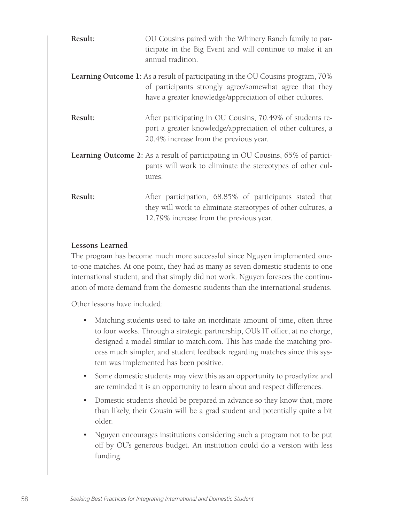| Result: | OU Cousins paired with the Whinery Ranch family to par-<br>ticipate in the Big Event and will continue to make it an<br>annual tradition.                                                                     |
|---------|---------------------------------------------------------------------------------------------------------------------------------------------------------------------------------------------------------------|
|         | <b>Learning Outcome 1:</b> As a result of participating in the OU Cousins program, 70%<br>of participants strongly agree/somewhat agree that they<br>have a greater knowledge/appreciation of other cultures. |
| Result: | After participating in OU Cousins, 70.49% of students re-<br>port a greater knowledge/appreciation of other cultures, a<br>20.4% increase from the previous year.                                             |
|         | Learning Outcome 2: As a result of participating in OU Cousins, 65% of partici-<br>pants will work to eliminate the stereotypes of other cul-<br>tures.                                                       |
| Result: | After participation, 68.85% of participants stated that<br>they will work to eliminate stereotypes of other cultures, a<br>12.79% increase from the previous year.                                            |

### **Lessons Learned**

The program has become much more successful since Nguyen implemented oneto-one matches. At one point, they had as many as seven domestic students to one international student, and that simply did not work. Nguyen foresees the continuation of more demand from the domestic students than the international students.

Other lessons have included:

- Matching students used to take an inordinate amount of time, often three to four weeks. Through a strategic partnership, OU's IT office, at no charge, designed a model similar to match.com. This has made the matching process much simpler, and student feedback regarding matches since this system was implemented has been positive.
- Some domestic students may view this as an opportunity to proselytize and are reminded it is an opportunity to learn about and respect differences.
- Domestic students should be prepared in advance so they know that, more than likely, their Cousin will be a grad student and potentially quite a bit older.
- Nguyen encourages institutions considering such a program not to be put off by OU's generous budget. An institution could do a version with less funding.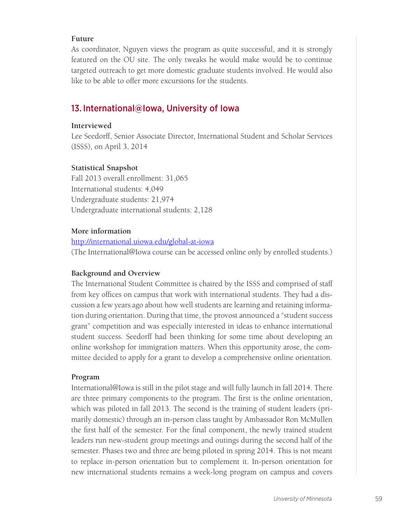### **Future**

As coordinator, Nguyen views the program as quite successful, and it is strongly featured on the OU site. The only tweaks he would make would be to continue targeted outreach to get more domestic graduate students involved. He would also like to be able to offer more excursions for the students.

# 13. International@Iowa, University of Iowa

### **Interviewed**

Lee Seedorff, Senior Associate Director, International Student and Scholar Services (ISSS), on April 3, 2014

### **Statistical Snapshot**

Fall 2013 overall enrollment: 31,065 International students: 4,049 Undergraduate students: 21,974 Undergraduate international students: 2,128

### **More information**

http://international.uiowa.edu/global-at-iowa (The International@Iowa course can be accessed online only by enrolled students.)

### **Background and Overview**

The International Student Committee is chaired by the ISSS and comprised of staff from key offices on campus that work with international students. They had a discussion a few years ago about how well students are learning and retaining information during orientation. During that time, the provost announced a "student success grant" competition and was especially interested in ideas to enhance international student success. Seedorff had been thinking for some time about developing an online workshop for immigration matters. When this opportunity arose, the committee decided to apply for a grant to develop a comprehensive online orientation.

### **Program**

International@Iowa is still in the pilot stage and will fully launch in fall 2014. There are three primary components to the program. The first is the online orientation, which was piloted in fall 2013. The second is the training of student leaders (primarily domestic) through an in-person class taught by Ambassador Ron McMullen the first half of the semester. For the final component, the newly trained student leaders run new-student group meetings and outings during the second half of the semester. Phases two and three are being piloted in spring 2014. This is not meant to replace in-person orientation but to complement it. In-person orientation for new international students remains a week-long program on campus and covers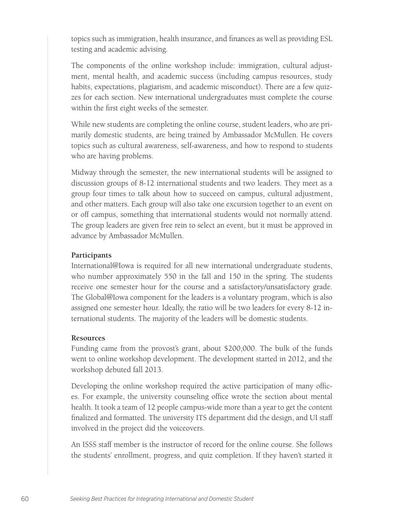topics such as immigration, health insurance, and finances as well as providing ESL testing and academic advising.

The components of the online workshop include: immigration, cultural adjustment, mental health, and academic success (including campus resources, study habits, expectations, plagiarism, and academic misconduct). There are a few quizzes for each section. New international undergraduates must complete the course within the first eight weeks of the semester.

While new students are completing the online course, student leaders, who are primarily domestic students, are being trained by Ambassador McMullen. He covers topics such as cultural awareness, self-awareness, and how to respond to students who are having problems.

Midway through the semester, the new international students will be assigned to discussion groups of 8-12 international students and two leaders. They meet as a group four times to talk about how to succeed on campus, cultural adjustment, and other matters. Each group will also take one excursion together to an event on or off campus, something that international students would not normally attend. The group leaders are given free rein to select an event, but it must be approved in advance by Ambassador McMullen.

### **Participants**

International@Iowa is required for all new international undergraduate students, who number approximately 550 in the fall and 150 in the spring. The students receive one semester hour for the course and a satisfactory/unsatisfactory grade. The Global@Iowa component for the leaders is a voluntary program, which is also assigned one semester hour. Ideally, the ratio will be two leaders for every 8-12 international students. The majority of the leaders will be domestic students.

#### **Resources**

Funding came from the provost's grant, about \$200,000. The bulk of the funds went to online workshop development. The development started in 2012, and the workshop debuted fall 2013.

Developing the online workshop required the active participation of many offices. For example, the university counseling office wrote the section about mental health. It took a team of 12 people campus-wide more than a year to get the content finalized and formatted. The university ITS department did the design, and UI staff involved in the project did the voiceovers.

An ISSS staff member is the instructor of record for the online course. She follows the students' enrollment, progress, and quiz completion. If they haven't started it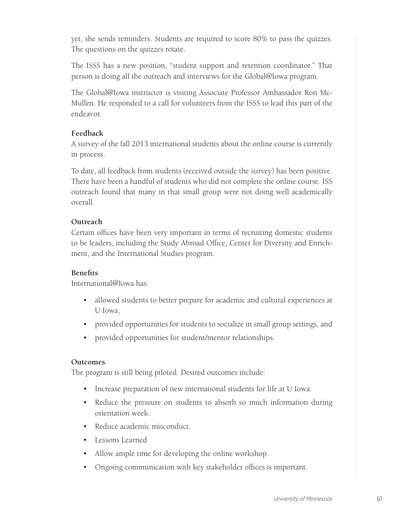yet, she sends reminders. Students are required to score 80% to pass the quizzes. The questions on the quizzes rotate.

The ISSS has a new position, "student support and retention coordinator." That person is doing all the outreach and interviews for the Global@Iowa program.

The Global@Iowa instructor is visiting Associate Professor Ambassador Ron Mc-Mullen. He responded to a call for volunteers from the ISSS to lead this part of the endeavor.

# **Feedback**

A survey of the fall 2013 international students about the online course is currently in process.

To date, all feedback from students (received outside the survey) has been positive. There have been a handful of students who did not complete the online course. ISS outreach found that many in that small group were not doing well academically overall.

# **Outreach**

Certain offices have been very important in terms of recruiting domestic students to be leaders, including the Study Abroad Office, Center for Diversity and Enrichment, and the International Studies program.

# **Benefits**

International@Iowa has:

- allowed students to better prepare for academic and cultural experiences at U Iowa,
- provided opportunities for students to socialize in small group settings, and
- provided opportunities for student/mentor relationships.

# **Outcomes**

The program is still being piloted. Desired outcomes include:

- Increase preparation of new international students for life at U Iowa.
- Reduce the pressure on students to absorb so much information during orientation week.
- Reduce academic misconduct.
- Lessons Learned
- Allow ample time for developing the online workshop.
- Ongoing communication with key stakeholder offices is important.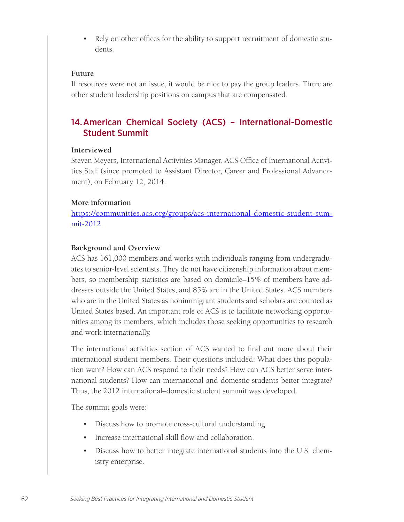• Rely on other offices for the ability to support recruitment of domestic students.

#### **Future**

If resources were not an issue, it would be nice to pay the group leaders. There are other student leadership positions on campus that are compensated.

# 14.American Chemical Society (ACS) – International-Domestic Student Summit

#### **Interviewed**

Steven Meyers, International Activities Manager, ACS Office of International Activities Staff (since promoted to Assistant Director, Career and Professional Advancement), on February 12, 2014.

#### **More information**

https://communities.acs.org/groups/acs-international-domestic-student-summit-2012

#### **Background and Overview**

ACS has 161,000 members and works with individuals ranging from undergraduates to senior-level scientists. They do not have citizenship information about members, so membership statistics are based on domicile–15% of members have addresses outside the United States, and 85% are in the United States. ACS members who are in the United States as nonimmigrant students and scholars are counted as United States based. An important role of ACS is to facilitate networking opportunities among its members, which includes those seeking opportunities to research and work internationally.

The international activities section of ACS wanted to find out more about their international student members. Their questions included: What does this population want? How can ACS respond to their needs? How can ACS better serve international students? How can international and domestic students better integrate? Thus, the 2012 international–domestic student summit was developed.

The summit goals were:

- Discuss how to promote cross-cultural understanding.
- Increase international skill flow and collaboration.
- Discuss how to better integrate international students into the U.S. chemistry enterprise.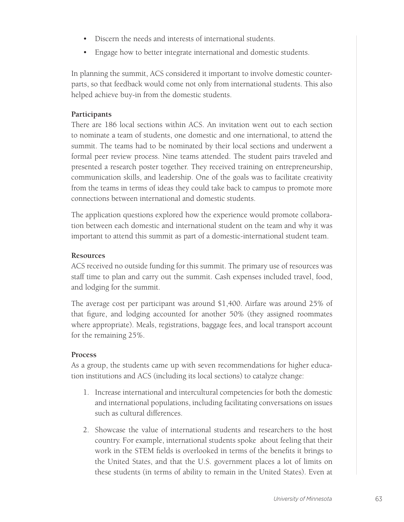- Discern the needs and interests of international students.
- Engage how to better integrate international and domestic students.

In planning the summit, ACS considered it important to involve domestic counterparts, so that feedback would come not only from international students. This also helped achieve buy-in from the domestic students.

# **Participants**

There are 186 local sections within ACS. An invitation went out to each section to nominate a team of students, one domestic and one international, to attend the summit. The teams had to be nominated by their local sections and underwent a formal peer review process. Nine teams attended. The student pairs traveled and presented a research poster together. They received training on entrepreneurship, communication skills, and leadership. One of the goals was to facilitate creativity from the teams in terms of ideas they could take back to campus to promote more connections between international and domestic students.

The application questions explored how the experience would promote collaboration between each domestic and international student on the team and why it was important to attend this summit as part of a domestic-international student team.

### **Resources**

ACS received no outside funding for this summit. The primary use of resources was staff time to plan and carry out the summit. Cash expenses included travel, food, and lodging for the summit.

The average cost per participant was around \$1,400. Airfare was around 25% of that figure, and lodging accounted for another 50% (they assigned roommates where appropriate). Meals, registrations, baggage fees, and local transport account for the remaining 25%.

# **Process**

As a group, the students came up with seven recommendations for higher education institutions and ACS (including its local sections) to catalyze change:

- 1. Increase international and intercultural competencies for both the domestic and international populations, including facilitating conversations on issues such as cultural differences.
- 2. Showcase the value of international students and researchers to the host country. For example, international students spoke about feeling that their work in the STEM fields is overlooked in terms of the benefits it brings to the United States, and that the U.S. government places a lot of limits on these students (in terms of ability to remain in the United States). Even at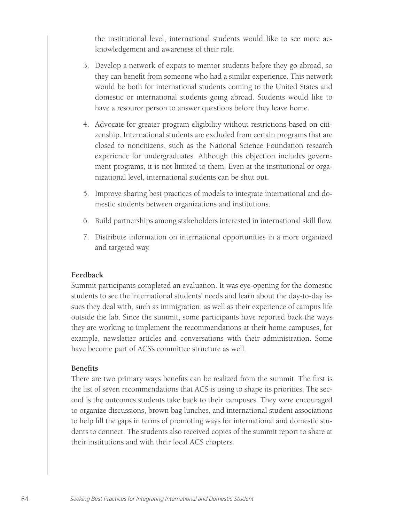the institutional level, international students would like to see more acknowledgement and awareness of their role.

- 3. Develop a network of expats to mentor students before they go abroad, so they can benefit from someone who had a similar experience. This network would be both for international students coming to the United States and domestic or international students going abroad. Students would like to have a resource person to answer questions before they leave home.
- 4. Advocate for greater program eligibility without restrictions based on citizenship. International students are excluded from certain programs that are closed to noncitizens, such as the National Science Foundation research experience for undergraduates. Although this objection includes government programs, it is not limited to them. Even at the institutional or organizational level, international students can be shut out.
- 5. Improve sharing best practices of models to integrate international and domestic students between organizations and institutions.
- 6. Build partnerships among stakeholders interested in international skill flow.
- 7. Distribute information on international opportunities in a more organized and targeted way.

# **Feedback**

Summit participants completed an evaluation. It was eye-opening for the domestic students to see the international students' needs and learn about the day-to-day issues they deal with, such as immigration, as well as their experience of campus life outside the lab. Since the summit, some participants have reported back the ways they are working to implement the recommendations at their home campuses, for example, newsletter articles and conversations with their administration. Some have become part of ACS's committee structure as well.

# **Benefits**

There are two primary ways benefits can be realized from the summit. The first is the list of seven recommendations that ACS is using to shape its priorities. The second is the outcomes students take back to their campuses. They were encouraged to organize discussions, brown bag lunches, and international student associations to help fill the gaps in terms of promoting ways for international and domestic students to connect. The students also received copies of the summit report to share at their institutions and with their local ACS chapters.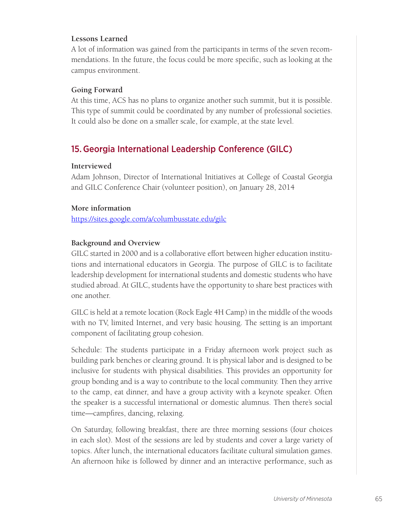# **Lessons Learned**

A lot of information was gained from the participants in terms of the seven recommendations. In the future, the focus could be more specific, such as looking at the campus environment.

### **Going Forward**

At this time, ACS has no plans to organize another such summit, but it is possible. This type of summit could be coordinated by any number of professional societies. It could also be done on a smaller scale, for example, at the state level.

# 15.Georgia International Leadership Conference (GILC)

### **Interviewed**

Adam Johnson, Director of International Initiatives at College of Coastal Georgia and GILC Conference Chair (volunteer position), on January 28, 2014

### **More information**

https://sites.google.com/a/columbusstate.edu/gilc

# **Background and Overview**

GILC started in 2000 and is a collaborative effort between higher education institutions and international educators in Georgia. The purpose of GILC is to facilitate leadership development for international students and domestic students who have studied abroad. At GILC, students have the opportunity to share best practices with one another.

GILC is held at a remote location (Rock Eagle 4H Camp) in the middle of the woods with no TV, limited Internet, and very basic housing. The setting is an important component of facilitating group cohesion.

Schedule: The students participate in a Friday afternoon work project such as building park benches or clearing ground. It is physical labor and is designed to be inclusive for students with physical disabilities. This provides an opportunity for group bonding and is a way to contribute to the local community. Then they arrive to the camp, eat dinner, and have a group activity with a keynote speaker. Often the speaker is a successful international or domestic alumnus. Then there's social time—campfires, dancing, relaxing.

On Saturday, following breakfast, there are three morning sessions (four choices in each slot). Most of the sessions are led by students and cover a large variety of topics. After lunch, the international educators facilitate cultural simulation games. An afternoon hike is followed by dinner and an interactive performance, such as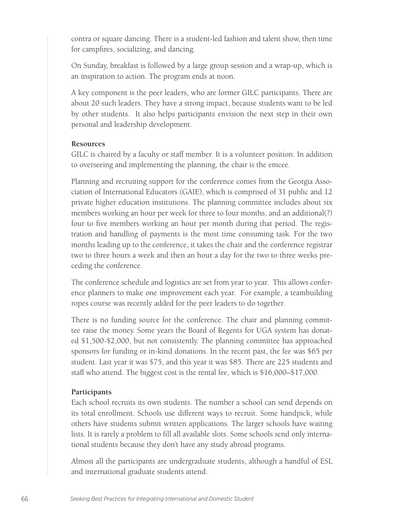contra or square dancing. There is a student-led fashion and talent show, then time for campfires, socializing, and dancing.

On Sunday, breakfast is followed by a large group session and a wrap-up, which is an inspiration to action. The program ends at noon.

A key component is the peer leaders, who are former GILC participants. There are about 20 such leaders. They have a strong impact, because students want to be led by other students. It also helps participants envision the next step in their own personal and leadership development.

#### **Resources**

GILC is chaired by a faculty or staff member. It is a volunteer position. In addition to overseeing and implementing the planning, the chair is the emcee.

Planning and recruiting support for the conference comes from the Georgia Association of International Educators (GAIE), which is comprised of 31 public and 12 private higher education institutions. The planning committee includes about six members working an hour per week for three to four months, and an additional(?) four to five members working an hour per month during that period. The registration and handling of payments is the most time consuming task. For the two months leading up to the conference, it takes the chair and the conference registrar two to three hours a week and then an hour a day for the two to three weeks preceding the conference.

The conference schedule and logistics are set from year to year. This allows conference planners to make one improvement each year. For example, a teambuilding ropes course was recently added for the peer leaders to do together.

There is no funding source for the conference. The chair and planning committee raise the money. Some years the Board of Regents for UGA system has donated \$1,500-\$2,000, but not consistently. The planning committee has approached sponsors for funding or in-kind donations. In the recent past, the fee was \$65 per student. Last year it was \$75, and this year it was \$85. There are 225 students and staff who attend. The biggest cost is the rental fee, which is \$16,000–\$17,000.

### **Participants**

Each school recruits its own students. The number a school can send depends on its total enrollment. Schools use different ways to recruit. Some handpick, while others have students submit written applications. The larger schools have waiting lists. It is rarely a problem to fill all available slots. Some schools send only international students because they don't have any study abroad programs.

Almost all the participants are undergraduate students, although a handful of ESL and international graduate students attend.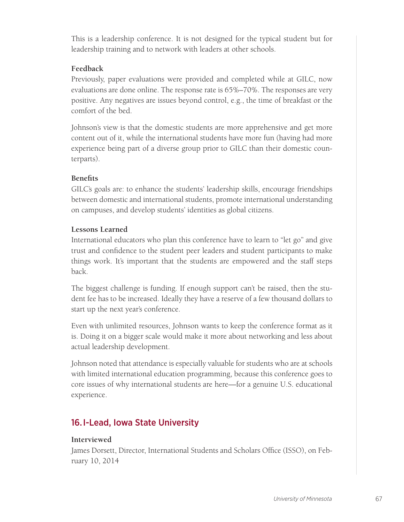This is a leadership conference. It is not designed for the typical student but for leadership training and to network with leaders at other schools.

# **Feedback**

Previously, paper evaluations were provided and completed while at GILC, now evaluations are done online. The response rate is 65%–70%. The responses are very positive. Any negatives are issues beyond control, e.g., the time of breakfast or the comfort of the bed.

Johnson's view is that the domestic students are more apprehensive and get more content out of it, while the international students have more fun (having had more experience being part of a diverse group prior to GILC than their domestic counterparts).

# **Benefits**

GILC's goals are: to enhance the students' leadership skills, encourage friendships between domestic and international students, promote international understanding on campuses, and develop students' identities as global citizens.

# **Lessons Learned**

International educators who plan this conference have to learn to "let go" and give trust and confidence to the student peer leaders and student participants to make things work. It's important that the students are empowered and the staff steps back.

The biggest challenge is funding. If enough support can't be raised, then the student fee has to be increased. Ideally they have a reserve of a few thousand dollars to start up the next year's conference.

Even with unlimited resources, Johnson wants to keep the conference format as it is. Doing it on a bigger scale would make it more about networking and less about actual leadership development.

Johnson noted that attendance is especially valuable for students who are at schools with limited international education programming, because this conference goes to core issues of why international students are here—for a genuine U.S. educational experience.

# 16.I-Lead, Iowa State University

# **Interviewed**

James Dorsett, Director, International Students and Scholars Office (ISSO), on February 10, 2014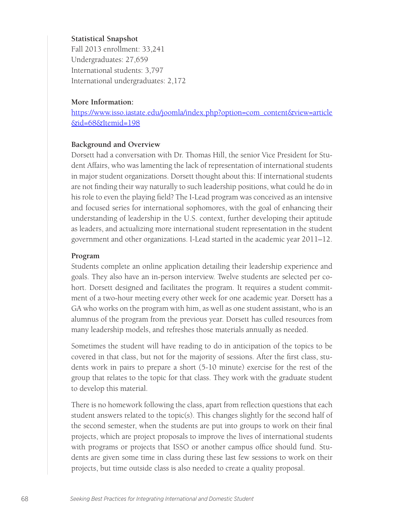### **Statistical Snapshot**

Fall 2013 enrollment: 33,241 Undergraduates: 27,659 International students: 3,797 International undergraduates: 2,172

#### **More Information:**

https://www.isso.iastate.edu/joomla/index.php?option=com\_content&view=article &id=68&Itemid=198

#### **Background and Overview**

Dorsett had a conversation with Dr. Thomas Hill, the senior Vice President for Student Affairs, who was lamenting the lack of representation of international students in major student organizations. Dorsett thought about this: If international students are not finding their way naturally to such leadership positions, what could he do in his role to even the playing field? The I-Lead program was conceived as an intensive and focused series for international sophomores, with the goal of enhancing their understanding of leadership in the U.S. context, further developing their aptitude as leaders, and actualizing more international student representation in the student government and other organizations. I-Lead started in the academic year 2011–12.

#### **Program**

Students complete an online application detailing their leadership experience and goals. They also have an in-person interview. Twelve students are selected per cohort. Dorsett designed and facilitates the program. It requires a student commitment of a two-hour meeting every other week for one academic year. Dorsett has a GA who works on the program with him, as well as one student assistant, who is an alumnus of the program from the previous year. Dorsett has culled resources from many leadership models, and refreshes those materials annually as needed.

Sometimes the student will have reading to do in anticipation of the topics to be covered in that class, but not for the majority of sessions. After the first class, students work in pairs to prepare a short (5-10 minute) exercise for the rest of the group that relates to the topic for that class. They work with the graduate student to develop this material.

There is no homework following the class, apart from reflection questions that each student answers related to the topic(s). This changes slightly for the second half of the second semester, when the students are put into groups to work on their final projects, which are project proposals to improve the lives of international students with programs or projects that ISSO or another campus office should fund. Students are given some time in class during these last few sessions to work on their projects, but time outside class is also needed to create a quality proposal.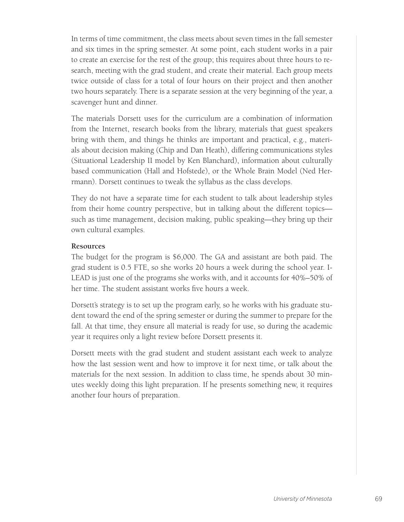In terms of time commitment, the class meets about seven times in the fall semester and six times in the spring semester. At some point, each student works in a pair to create an exercise for the rest of the group; this requires about three hours to research, meeting with the grad student, and create their material. Each group meets twice outside of class for a total of four hours on their project and then another two hours separately. There is a separate session at the very beginning of the year, a scavenger hunt and dinner.

The materials Dorsett uses for the curriculum are a combination of information from the Internet, research books from the library, materials that guest speakers bring with them, and things he thinks are important and practical, e.g., materials about decision making (Chip and Dan Heath), differing communications styles (Situational Leadership II model by Ken Blanchard), information about culturally based communication (Hall and Hofstede), or the Whole Brain Model (Ned Herrmann). Dorsett continues to tweak the syllabus as the class develops.

They do not have a separate time for each student to talk about leadership styles from their home country perspective, but in talking about the different topics such as time management, decision making, public speaking—they bring up their own cultural examples.

#### **Resources**

The budget for the program is \$6,000. The GA and assistant are both paid. The grad student is 0.5 FTE, so she works 20 hours a week during the school year. I-LEAD is just one of the programs she works with, and it accounts for 40%–50% of her time. The student assistant works five hours a week.

Dorsett's strategy is to set up the program early, so he works with his graduate student toward the end of the spring semester or during the summer to prepare for the fall. At that time, they ensure all material is ready for use, so during the academic year it requires only a light review before Dorsett presents it.

Dorsett meets with the grad student and student assistant each week to analyze how the last session went and how to improve it for next time, or talk about the materials for the next session. In addition to class time, he spends about 30 minutes weekly doing this light preparation. If he presents something new, it requires another four hours of preparation.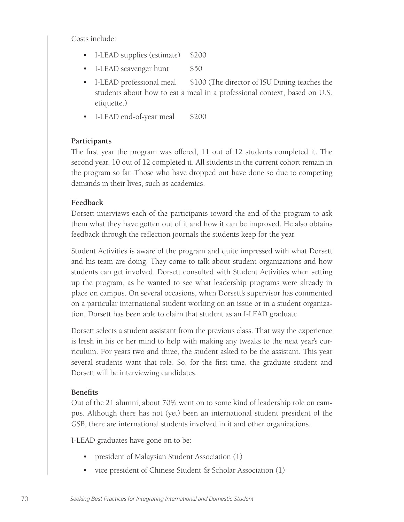Costs include:

- I-LEAD supplies (estimate) \$200
- I-LEAD scavenger hunt \$50
- I-LEAD professional meal  $$100$  (The director of ISU Dining teaches the students about how to eat a meal in a professional context, based on U.S. etiquette.)
- I-LEAD end-of-year meal \$200

#### **Participants**

The first year the program was offered, 11 out of 12 students completed it. The second year, 10 out of 12 completed it. All students in the current cohort remain in the program so far. Those who have dropped out have done so due to competing demands in their lives, such as academics.

#### **Feedback**

Dorsett interviews each of the participants toward the end of the program to ask them what they have gotten out of it and how it can be improved. He also obtains feedback through the reflection journals the students keep for the year.

Student Activities is aware of the program and quite impressed with what Dorsett and his team are doing. They come to talk about student organizations and how students can get involved. Dorsett consulted with Student Activities when setting up the program, as he wanted to see what leadership programs were already in place on campus. On several occasions, when Dorsett's supervisor has commented on a particular international student working on an issue or in a student organization, Dorsett has been able to claim that student as an I-LEAD graduate.

Dorsett selects a student assistant from the previous class. That way the experience is fresh in his or her mind to help with making any tweaks to the next year's curriculum. For years two and three, the student asked to be the assistant. This year several students want that role. So, for the first time, the graduate student and Dorsett will be interviewing candidates.

#### **Benefits**

Out of the 21 alumni, about 70% went on to some kind of leadership role on campus. Although there has not (yet) been an international student president of the GSB, there are international students involved in it and other organizations.

I-LEAD graduates have gone on to be:

- president of Malaysian Student Association (1)
- vice president of Chinese Student & Scholar Association (1)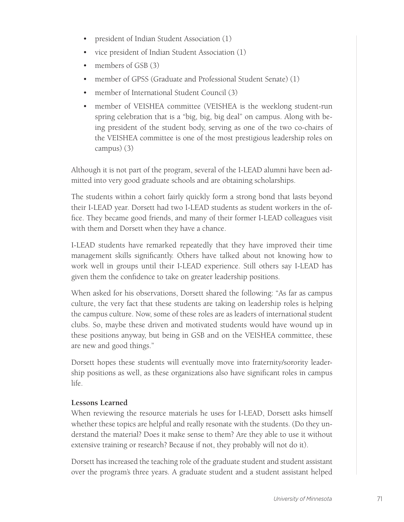- president of Indian Student Association (1)
- vice president of Indian Student Association (1)
- members of GSB (3)
- member of GPSS (Graduate and Professional Student Senate) (1)
- member of International Student Council (3)
- member of VEISHEA committee (VEISHEA is the weeklong student-run spring celebration that is a "big, big, big deal" on campus. Along with being president of the student body, serving as one of the two co-chairs of the VEISHEA committee is one of the most prestigious leadership roles on campus) (3)

Although it is not part of the program, several of the I-LEAD alumni have been admitted into very good graduate schools and are obtaining scholarships.

The students within a cohort fairly quickly form a strong bond that lasts beyond their I-LEAD year. Dorsett had two I-LEAD students as student workers in the office. They became good friends, and many of their former I-LEAD colleagues visit with them and Dorsett when they have a chance.

I-LEAD students have remarked repeatedly that they have improved their time management skills significantly. Others have talked about not knowing how to work well in groups until their I-LEAD experience. Still others say I-LEAD has given them the confidence to take on greater leadership positions.

When asked for his observations, Dorsett shared the following: "As far as campus culture, the very fact that these students are taking on leadership roles is helping the campus culture. Now, some of these roles are as leaders of international student clubs. So, maybe these driven and motivated students would have wound up in these positions anyway, but being in GSB and on the VEISHEA committee, these are new and good things."

Dorsett hopes these students will eventually move into fraternity/sorority leadership positions as well, as these organizations also have significant roles in campus life.

### **Lessons Learned**

When reviewing the resource materials he uses for I-LEAD, Dorsett asks himself whether these topics are helpful and really resonate with the students. (Do they understand the material? Does it make sense to them? Are they able to use it without extensive training or research? Because if not, they probably will not do it).

Dorsett has increased the teaching role of the graduate student and student assistant over the program's three years. A graduate student and a student assistant helped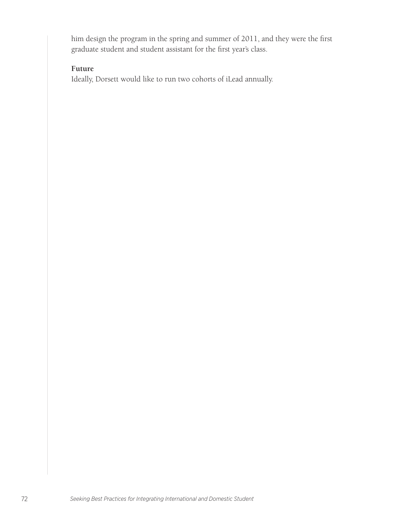him design the program in the spring and summer of 2011, and they were the first graduate student and student assistant for the first year's class.

#### **Future**

Ideally, Dorsett would like to run two cohorts of iLead annually.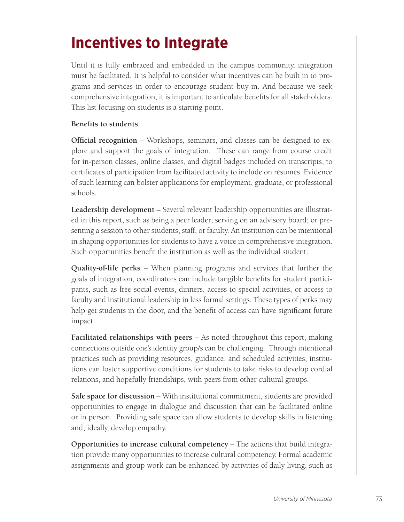# **Incentives to Integrate**

Until it is fully embraced and embedded in the campus community, integration must be facilitated. It is helpful to consider what incentives can be built in to programs and services in order to encourage student buy-in. And because we seek comprehensive integration, it is important to articulate benefits for all stakeholders. This list focusing on students is a starting point.

#### **Benefits to students**:

**Official recognition** – Workshops, seminars, and classes can be designed to explore and support the goals of integration. These can range from course credit for in-person classes, online classes, and digital badges included on transcripts, to certificates of participation from facilitated activity to include on résumés. Evidence of such learning can bolster applications for employment, graduate, or professional schools.

**Leadership development** – Several relevant leadership opportunities are illustrated in this report, such as being a peer leader; serving on an advisory board; or presenting a session to other students, staff, or faculty. An institution can be intentional in shaping opportunities for students to have a voice in comprehensive integration. Such opportunities benefit the institution as well as the individual student.

**Quality-of-life perks** – When planning programs and services that further the goals of integration, coordinators can include tangible benefits for student participants, such as free social events, dinners, access to special activities, or access to faculty and institutional leadership in less formal settings. These types of perks may help get students in the door, and the benefit of access can have significant future impact.

**Facilitated relationships with peers** – As noted throughout this report, making connections outside one's identity group/s can be challenging. Through intentional practices such as providing resources, guidance, and scheduled activities, institutions can foster supportive conditions for students to take risks to develop cordial relations, and hopefully friendships, with peers from other cultural groups.

**Safe space for discussion** – With institutional commitment, students are provided opportunities to engage in dialogue and discussion that can be facilitated online or in person. Providing safe space can allow students to develop skills in listening and, ideally, develop empathy.

**Opportunities to increase cultural competency** – The actions that build integration provide many opportunities to increase cultural competency. Formal academic assignments and group work can be enhanced by activities of daily living, such as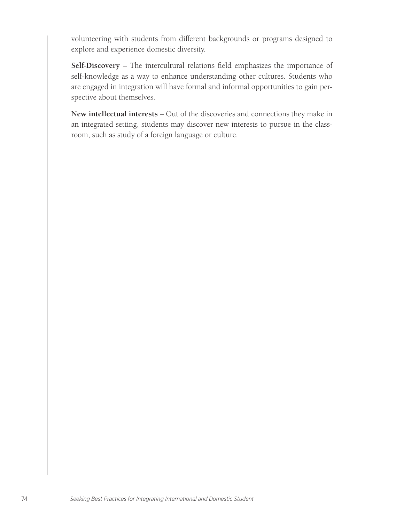volunteering with students from different backgrounds or programs designed to explore and experience domestic diversity.

**Self-Discovery** – The intercultural relations field emphasizes the importance of self-knowledge as a way to enhance understanding other cultures. Students who are engaged in integration will have formal and informal opportunities to gain perspective about themselves.

**New intellectual interests** – Out of the discoveries and connections they make in an integrated setting, students may discover new interests to pursue in the classroom, such as study of a foreign language or culture.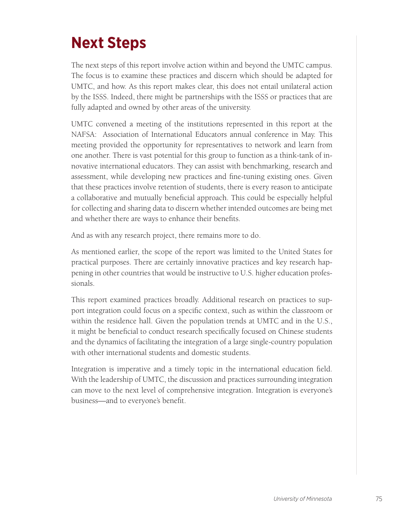# **Next Steps**

The next steps of this report involve action within and beyond the UMTC campus. The focus is to examine these practices and discern which should be adapted for UMTC, and how. As this report makes clear, this does not entail unilateral action by the ISSS. Indeed, there might be partnerships with the ISSS or practices that are fully adapted and owned by other areas of the university.

UMTC convened a meeting of the institutions represented in this report at the NAFSA: Association of International Educators annual conference in May. This meeting provided the opportunity for representatives to network and learn from one another. There is vast potential for this group to function as a think-tank of innovative international educators. They can assist with benchmarking, research and assessment, while developing new practices and fine-tuning existing ones. Given that these practices involve retention of students, there is every reason to anticipate a collaborative and mutually beneficial approach. This could be especially helpful for collecting and sharing data to discern whether intended outcomes are being met and whether there are ways to enhance their benefits.

And as with any research project, there remains more to do.

As mentioned earlier, the scope of the report was limited to the United States for practical purposes. There are certainly innovative practices and key research happening in other countries that would be instructive to U.S. higher education professionals.

This report examined practices broadly. Additional research on practices to support integration could focus on a specific context, such as within the classroom or within the residence hall. Given the population trends at UMTC and in the U.S., it might be beneficial to conduct research specifically focused on Chinese students and the dynamics of facilitating the integration of a large single-country population with other international students and domestic students.

Integration is imperative and a timely topic in the international education field. With the leadership of UMTC, the discussion and practices surrounding integration can move to the next level of comprehensive integration. Integration is everyone's business—and to everyone's benefit.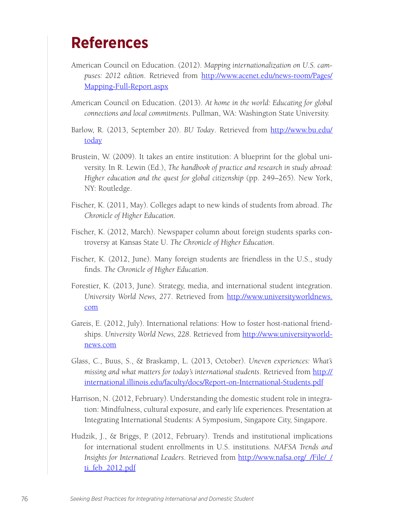### **References**

- American Council on Education. (2012). *Mapping internationalization on U.S. campuses: 2012 edition*. Retrieved from http://www.acenet.edu/news-room/Pages/ Mapping-Full-Report.aspx
- American Council on Education. (2013). *At home in the world: Educating for global connections and local commitments*. Pullman, WA: Washington State University.
- Barlow, R. (2013, September 20). *BU Today*. Retrieved from http://www.bu.edu/ today
- Brustein, W. (2009). It takes an entire institution: A blueprint for the global university. In R. Lewin (Ed.), *The handbook of practice and research in study abroad: Higher education and the quest for global citizenship* (pp. 249–265). New York, NY: Routledge.
- Fischer, K. (2011, May). Colleges adapt to new kinds of students from abroad. *The Chronicle of Higher Education*.
- Fischer, K. (2012, March). Newspaper column about foreign students sparks controversy at Kansas State U. *The Chronicle of Higher Education*.
- Fischer, K. (2012, June). Many foreign students are friendless in the U.S., study finds. *The Chronicle of Higher Education*.
- Forestier, K. (2013, June). Strategy, media, and international student integration. *University World News, 277*. Retrieved from http://www.universityworldnews. com
- Gareis, E. (2012, July). International relations: How to foster host-national friendships. *University World News, 228*. Retrieved from http://www.universityworldnews.com
- Glass, C., Buus, S., & Braskamp, L. (2013, October). *Uneven experiences: What's missing and what matters for today's international students*. Retrieved from http:// international.illinois.edu/faculty/docs/Report-on-International-Students.pdf
- Harrison, N. (2012, February). Understanding the domestic student role in integration: Mindfulness, cultural exposure, and early life experiences. Presentation at Integrating International Students: A Symposium, Singapore City, Singapore.
- Hudzik, J., & Briggs, P. (2012, February). Trends and institutional implications for international student enrollments in U.S. institutions. *NAFSA Trends and Insights for International Leaders*. Retrieved from http://www.nafsa.org/\_/File/\_/ ti\_feb\_2012.pdf